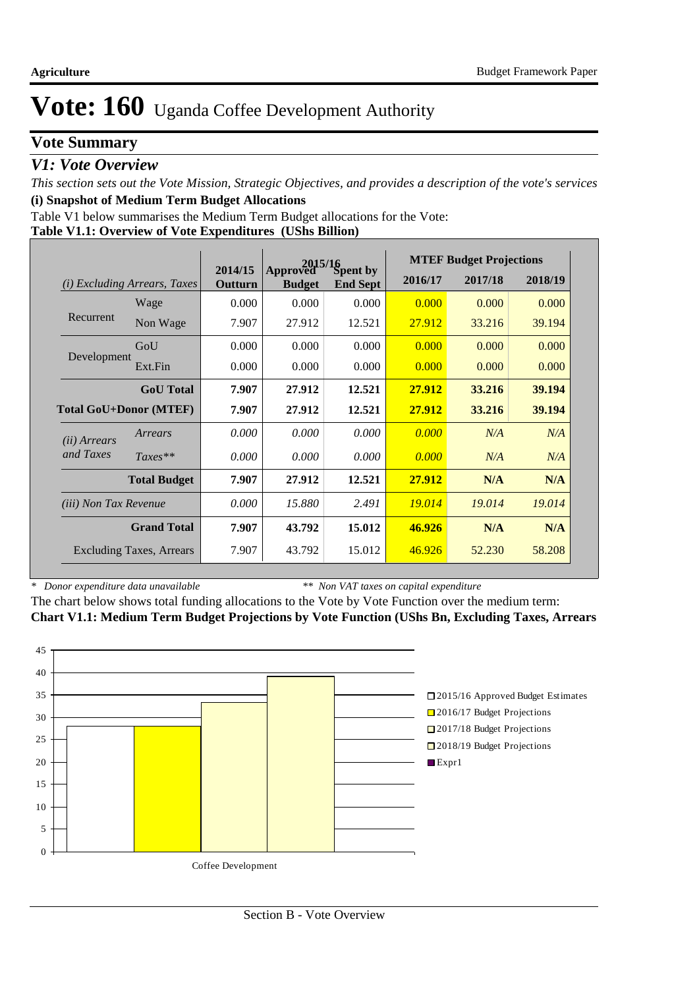## **Vote Summary**

## *V1: Vote Overview*

*This section sets out the Vote Mission, Strategic Objectives, and provides a description of the vote's services* **(i) Snapshot of Medium Term Budget Allocations** 

Table V1 below summarises the Medium Term Budget allocations for the Vote:

| Table V1.1: Overview of Vote Expenditures (UShs Billion) |
|----------------------------------------------------------|
|----------------------------------------------------------|

|                               |                                 |                    | 2015/16                   |                                    | <b>MTEF Budget Projections</b> |         |         |
|-------------------------------|---------------------------------|--------------------|---------------------------|------------------------------------|--------------------------------|---------|---------|
| (i)                           | <b>Excluding Arrears, Taxes</b> | 2014/15<br>Outturn | Approved<br><b>Budget</b> | <b>Spent by</b><br><b>End Sept</b> | 2016/17                        | 2017/18 | 2018/19 |
|                               | Wage                            | 0.000              | 0.000                     | 0.000                              | 0.000                          | 0.000   | 0.000   |
| Recurrent                     | Non Wage                        | 7.907              | 27.912                    | 12.521                             | 27.912                         | 33.216  | 39.194  |
|                               | GoU                             | 0.000              | 0.000                     | 0.000                              | 0.000                          | 0.000   | 0.000   |
| Development                   | Ext.Fin                         | 0.000              | 0.000                     | 0.000                              | 0.000                          | 0.000   | 0.000   |
|                               | <b>GoU</b> Total                | 7.907              | 27.912                    | 12.521                             | 27.912                         | 33.216  | 39.194  |
| <b>Total GoU+Donor (MTEF)</b> |                                 | 7.907              | 27.912                    | 12.521                             | 27.912                         | 33.216  | 39.194  |
| ( <i>ii</i> ) Arrears         | Arrears                         | 0.000              | 0.000                     | 0.000                              | 0.000                          | N/A     | N/A     |
| and Taxes                     | $Taxes**$                       | 0.000              | 0.000                     | 0.000                              | 0.000                          | N/A     | N/A     |
|                               | <b>Total Budget</b>             | 7.907              | 27.912                    | 12.521                             | 27.912                         | N/A     | N/A     |
| <i>(iii)</i> Non Tax Revenue  |                                 | 0.000              | 15.880                    | 2.491                              | 19.014                         | 19.014  | 19.014  |
|                               | <b>Grand Total</b>              | 7.907              | 43.792                    | 15.012                             | 46.926                         | N/A     | N/A     |
|                               | Excluding Taxes, Arrears        | 7.907              | 43.792                    | 15.012                             | 46.926                         | 52.230  | 58.208  |

*\* Donor expenditure data unavailable*

*\*\* Non VAT taxes on capital expenditure*

The chart below shows total funding allocations to the Vote by Vote Function over the medium term: **Chart V1.1: Medium Term Budget Projections by Vote Function (UShs Bn, Excluding Taxes, Arrears**

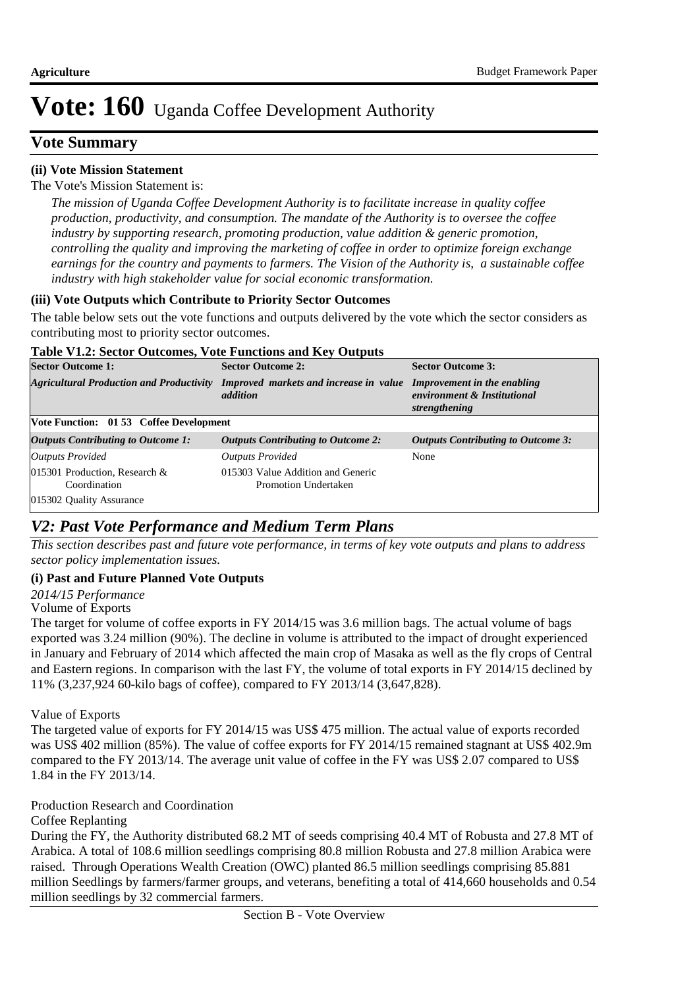## **Vote Summary**

## **(ii) Vote Mission Statement**

The Vote's Mission Statement is:

*The mission of Uganda Coffee Development Authority is to facilitate increase in quality coffee production, productivity, and consumption. The mandate of the Authority is to oversee the coffee industry by supporting research, promoting production, value addition & generic promotion, controlling the quality and improving the marketing of coffee in order to optimize foreign exchange earnings for the country and payments to farmers. The Vision of the Authority is, a sustainable coffee industry with high stakeholder value for social economic transformation.*

## **(iii) Vote Outputs which Contribute to Priority Sector Outcomes**

The table below sets out the vote functions and outputs delivered by the vote which the sector considers as contributing most to priority sector outcomes.

| <b>Sector Outcome 1:</b>                                                  | <b>Sector Outcome 2:</b>                                                       | <b>Sector Outcome 3:</b>                     |  |
|---------------------------------------------------------------------------|--------------------------------------------------------------------------------|----------------------------------------------|--|
| <b>Agricultural Production and Productivity</b>                           | Improved markets and increase in value Improvement in the enabling<br>addition | environment & Institutional<br>strengthening |  |
| Vote Function: 01 53 Coffee Development                                   |                                                                                |                                              |  |
| <b>Outputs Contributing to Outcome 1:</b>                                 | <b>Outputs Contributing to Outcome 2:</b>                                      | <b>Outputs Contributing to Outcome 3:</b>    |  |
| Outputs Provided                                                          | <b>Outputs Provided</b>                                                        | None                                         |  |
| 015301 Production, Research &<br>Coordination<br>015302 Ouality Assurance | 015303 Value Addition and Generic<br>Promotion Undertaken                      |                                              |  |

## **Table V1.2: Sector Outcomes, Vote Functions and Key Outputs**

## *V2: Past Vote Performance and Medium Term Plans*

*This section describes past and future vote performance, in terms of key vote outputs and plans to address sector policy implementation issues.* 

## **(i) Past and Future Planned Vote Outputs**

*2014/15 Performance*

## Volume of Exports

The target for volume of coffee exports in FY 2014/15 was 3.6 million bags. The actual volume of bags exported was 3.24 million (90%). The decline in volume is attributed to the impact of drought experienced in January and February of 2014 which affected the main crop of Masaka as well as the fly crops of Central and Eastern regions. In comparison with the last FY, the volume of total exports in FY 2014/15 declined by 11% (3,237,924 60-kilo bags of coffee), compared to FY 2013/14 (3,647,828).

#### Value of Exports

The targeted value of exports for FY 2014/15 was US\$ 475 million. The actual value of exports recorded was US\$ 402 million (85%). The value of coffee exports for FY 2014/15 remained stagnant at US\$ 402.9m compared to the FY 2013/14. The average unit value of coffee in the FY was US\$ 2.07 compared to US\$ 1.84 in the FY 2013/14.

## Production Research and Coordination

## Coffee Replanting

During the FY, the Authority distributed 68.2 MT of seeds comprising 40.4 MT of Robusta and 27.8 MT of Arabica. A total of 108.6 million seedlings comprising 80.8 million Robusta and 27.8 million Arabica were raised. Through Operations Wealth Creation (OWC) planted 86.5 million seedlings comprising 85.881 million Seedlings by farmers/farmer groups, and veterans, benefiting a total of 414,660 households and 0.54 million seedlings by 32 commercial farmers.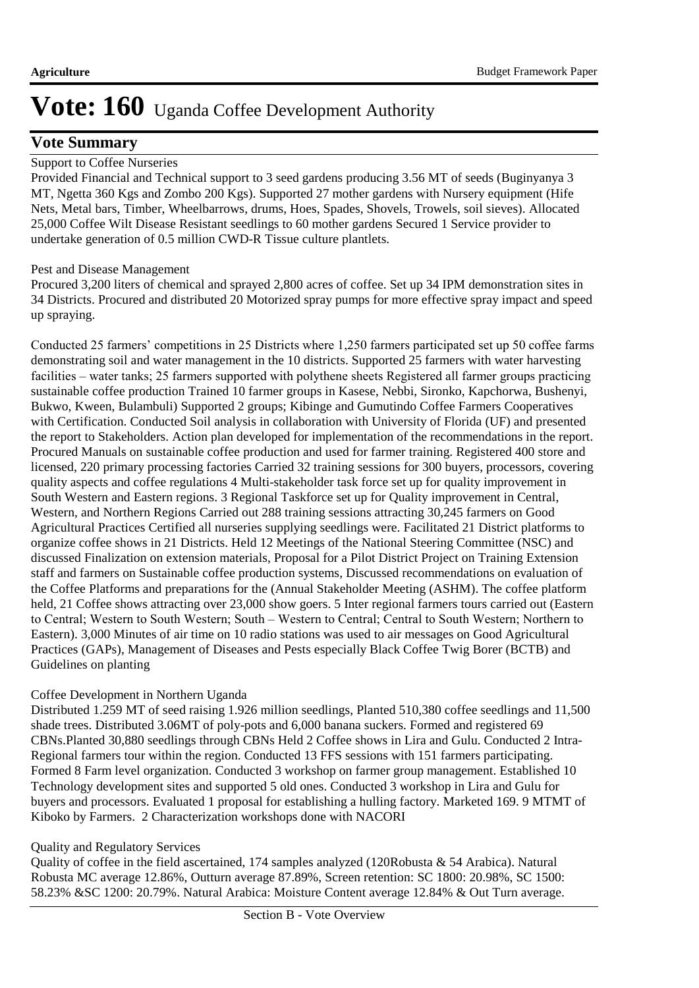## **Vote Summary**

## Support to Coffee Nurseries

Provided Financial and Technical support to 3 seed gardens producing 3.56 MT of seeds (Buginyanya 3 MT, Ngetta 360 Kgs and Zombo 200 Kgs). Supported 27 mother gardens with Nursery equipment (Hife Nets, Metal bars, Timber, Wheelbarrows, drums, Hoes, Spades, Shovels, Trowels, soil sieves). Allocated 25,000 Coffee Wilt Disease Resistant seedlings to 60 mother gardens Secured 1 Service provider to undertake generation of 0.5 million CWD-R Tissue culture plantlets.

## Pest and Disease Management

Procured 3,200 liters of chemical and sprayed 2,800 acres of coffee. Set up 34 IPM demonstration sites in 34 Districts. Procured and distributed 20 Motorized spray pumps for more effective spray impact and speed up spraying.

Conducted 25 farmers' competitions in 25 Districts where 1,250 farmers participated set up 50 coffee farms demonstrating soil and water management in the 10 districts. Supported 25 farmers with water harvesting facilities – water tanks; 25 farmers supported with polythene sheets Registered all farmer groups practicing sustainable coffee production Trained 10 farmer groups in Kasese, Nebbi, Sironko, Kapchorwa, Bushenyi, Bukwo, Kween, Bulambuli) Supported 2 groups; Kibinge and Gumutindo Coffee Farmers Cooperatives with Certification. Conducted Soil analysis in collaboration with University of Florida (UF) and presented the report to Stakeholders. Action plan developed for implementation of the recommendations in the report. Procured Manuals on sustainable coffee production and used for farmer training. Registered 400 store and licensed, 220 primary processing factories Carried 32 training sessions for 300 buyers, processors, covering quality aspects and coffee regulations 4 Multi-stakeholder task force set up for quality improvement in South Western and Eastern regions. 3 Regional Taskforce set up for Quality improvement in Central, Western, and Northern Regions Carried out 288 training sessions attracting 30,245 farmers on Good Agricultural Practices Certified all nurseries supplying seedlings were. Facilitated 21 District platforms to organize coffee shows in 21 Districts. Held 12 Meetings of the National Steering Committee (NSC) and discussed Finalization on extension materials, Proposal for a Pilot District Project on Training Extension staff and farmers on Sustainable coffee production systems, Discussed recommendations on evaluation of the Coffee Platforms and preparations for the (Annual Stakeholder Meeting (ASHM). The coffee platform held, 21 Coffee shows attracting over 23,000 show goers. 5 Inter regional farmers tours carried out (Eastern to Central; Western to South Western; South – Western to Central; Central to South Western; Northern to Eastern). 3,000 Minutes of air time on 10 radio stations was used to air messages on Good Agricultural Practices (GAPs), Management of Diseases and Pests especially Black Coffee Twig Borer (BCTB) and Guidelines on planting

## Coffee Development in Northern Uganda

Distributed 1.259 MT of seed raising 1.926 million seedlings, Planted 510,380 coffee seedlings and 11,500 shade trees. Distributed 3.06MT of poly-pots and 6,000 banana suckers. Formed and registered 69 CBNs.Planted 30,880 seedlings through CBNs Held 2 Coffee shows in Lira and Gulu. Conducted 2 Intra-Regional farmers tour within the region. Conducted 13 FFS sessions with 151 farmers participating. Formed 8 Farm level organization. Conducted 3 workshop on farmer group management. Established 10 Technology development sites and supported 5 old ones. Conducted 3 workshop in Lira and Gulu for buyers and processors. Evaluated 1 proposal for establishing a hulling factory. Marketed 169. 9 MTMT of Kiboko by Farmers. 2 Characterization workshops done with NACORI

## Quality and Regulatory Services

Quality of coffee in the field ascertained, 174 samples analyzed (120Robusta & 54 Arabica). Natural Robusta MC average 12.86%, Outturn average 87.89%, Screen retention: SC 1800: 20.98%, SC 1500: 58.23% &SC 1200: 20.79%. Natural Arabica: Moisture Content average 12.84% & Out Turn average.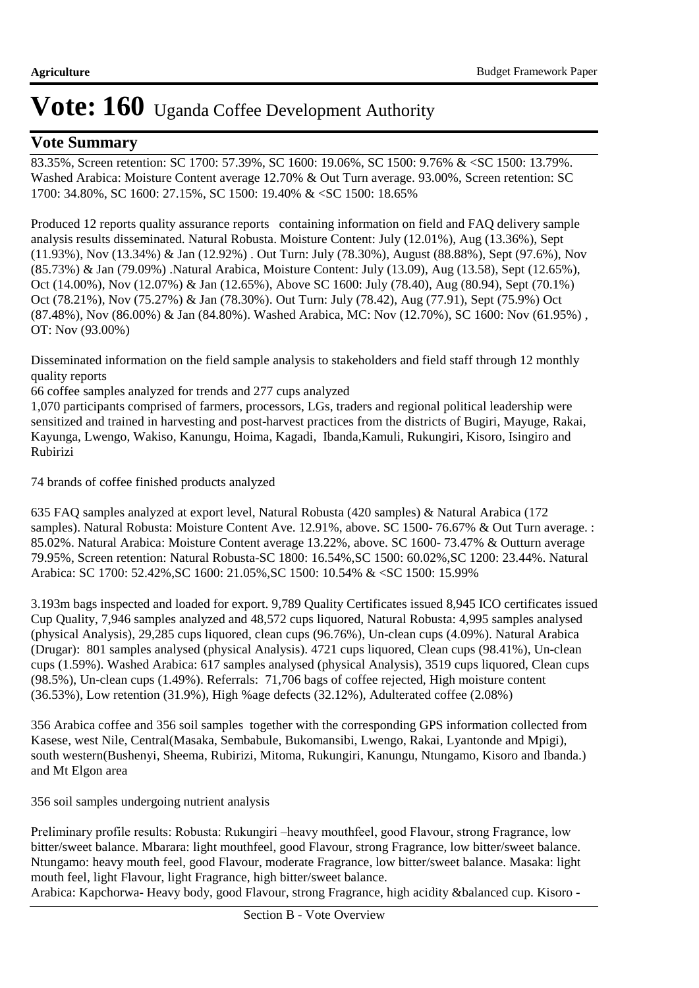## **Vote Summary**

83.35%, Screen retention: SC 1700: 57.39%, SC 1600: 19.06%, SC 1500: 9.76% & <SC 1500: 13.79%. Washed Arabica: Moisture Content average 12.70% & Out Turn average. 93.00%, Screen retention: SC 1700: 34.80%, SC 1600: 27.15%, SC 1500: 19.40% & <SC 1500: 18.65%

Produced 12 reports quality assurance reports containing information on field and FAQ delivery sample analysis results disseminated. Natural Robusta. Moisture Content: July (12.01%), Aug (13.36%), Sept (11.93%), Nov (13.34%) & Jan (12.92%) . Out Turn: July (78.30%), August (88.88%), Sept (97.6%), Nov (85.73%) & Jan (79.09%) .Natural Arabica, Moisture Content: July (13.09), Aug (13.58), Sept (12.65%), Oct (14.00%), Nov (12.07%) & Jan (12.65%), Above SC 1600: July (78.40), Aug (80.94), Sept (70.1%) Oct (78.21%), Nov (75.27%) & Jan (78.30%). Out Turn: July (78.42), Aug (77.91), Sept (75.9%) Oct (87.48%), Nov (86.00%) & Jan (84.80%). Washed Arabica, MC: Nov (12.70%), SC 1600: Nov (61.95%) , OT: Nov (93.00%)

Disseminated information on the field sample analysis to stakeholders and field staff through 12 monthly quality reports

66 coffee samples analyzed for trends and 277 cups analyzed

1,070 participants comprised of farmers, processors, LGs, traders and regional political leadership were sensitized and trained in harvesting and post-harvest practices from the districts of Bugiri, Mayuge, Rakai, Kayunga, Lwengo, Wakiso, Kanungu, Hoima, Kagadi, Ibanda,Kamuli, Rukungiri, Kisoro, Isingiro and Rubirizi

74 brands of coffee finished products analyzed

635 FAQ samples analyzed at export level, Natural Robusta (420 samples) & Natural Arabica (172 samples). Natural Robusta: Moisture Content Ave. 12.91%, above. SC 1500- 76.67% & Out Turn average. : 85.02%. Natural Arabica: Moisture Content average 13.22%, above. SC 1600- 73.47% & Outturn average 79.95%, Screen retention: Natural Robusta-SC 1800: 16.54%,SC 1500: 60.02%,SC 1200: 23.44%. Natural Arabica: SC 1700: 52.42%,SC 1600: 21.05%,SC 1500: 10.54% & <SC 1500: 15.99%

3.193m bags inspected and loaded for export. 9,789 Quality Certificates issued 8,945 ICO certificates issued Cup Quality, 7,946 samples analyzed and 48,572 cups liquored, Natural Robusta: 4,995 samples analysed (physical Analysis), 29,285 cups liquored, clean cups (96.76%), Un-clean cups (4.09%). Natural Arabica (Drugar): 801 samples analysed (physical Analysis). 4721 cups liquored, Clean cups (98.41%), Un-clean cups (1.59%). Washed Arabica: 617 samples analysed (physical Analysis), 3519 cups liquored, Clean cups (98.5%), Un-clean cups (1.49%). Referrals: 71,706 bags of coffee rejected, High moisture content (36.53%), Low retention (31.9%), High %age defects (32.12%), Adulterated coffee (2.08%)

356 Arabica coffee and 356 soil samples together with the corresponding GPS information collected from Kasese, west Nile, Central(Masaka, Sembabule, Bukomansibi, Lwengo, Rakai, Lyantonde and Mpigi), south western(Bushenyi, Sheema, Rubirizi, Mitoma, Rukungiri, Kanungu, Ntungamo, Kisoro and Ibanda.) and Mt Elgon area

356 soil samples undergoing nutrient analysis

Preliminary profile results: Robusta: Rukungiri –heavy mouthfeel, good Flavour, strong Fragrance, low bitter/sweet balance. Mbarara: light mouthfeel, good Flavour, strong Fragrance, low bitter/sweet balance. Ntungamo: heavy mouth feel, good Flavour, moderate Fragrance, low bitter/sweet balance. Masaka: light mouth feel, light Flavour, light Fragrance, high bitter/sweet balance.

Arabica: Kapchorwa- Heavy body, good Flavour, strong Fragrance, high acidity &balanced cup. Kisoro -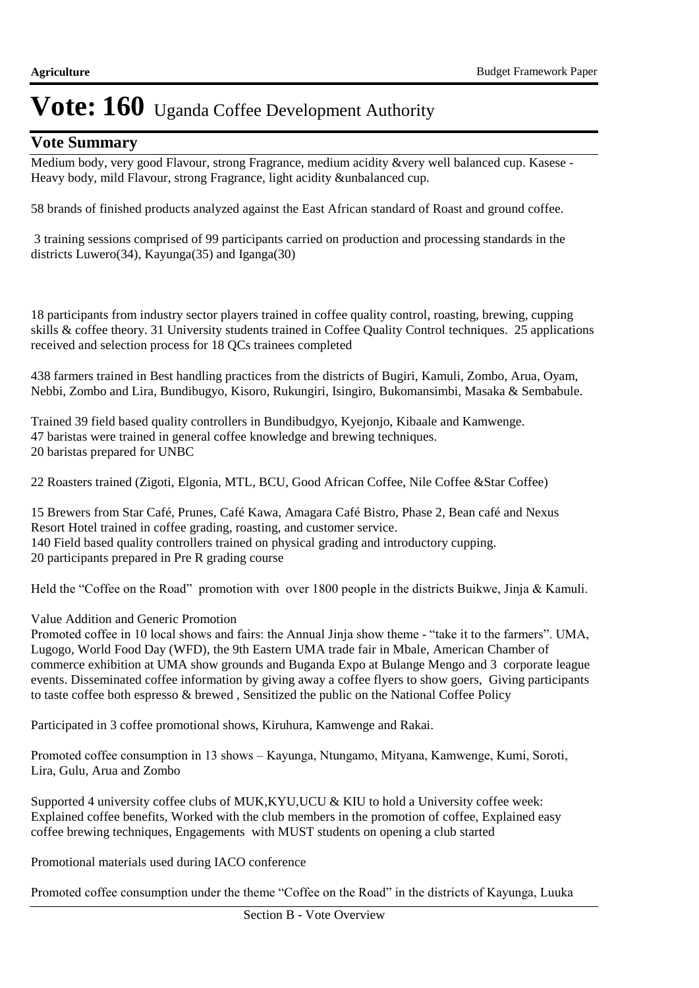## **Vote Summary**

Medium body, very good Flavour, strong Fragrance, medium acidity &very well balanced cup. Kasese - Heavy body, mild Flavour, strong Fragrance, light acidity &unbalanced cup.

58 brands of finished products analyzed against the East African standard of Roast and ground coffee.

 3 training sessions comprised of 99 participants carried on production and processing standards in the districts Luwero(34), Kayunga(35) and Iganga(30)

18 participants from industry sector players trained in coffee quality control, roasting, brewing, cupping skills & coffee theory. 31 University students trained in Coffee Quality Control techniques. 25 applications received and selection process for 18 QCs trainees completed

438 farmers trained in Best handling practices from the districts of Bugiri, Kamuli, Zombo, Arua, Oyam, Nebbi, Zombo and Lira, Bundibugyo, Kisoro, Rukungiri, Isingiro, Bukomansimbi, Masaka & Sembabule.

Trained 39 field based quality controllers in Bundibudgyo, Kyejonjo, Kibaale and Kamwenge. 47 baristas were trained in general coffee knowledge and brewing techniques. 20 baristas prepared for UNBC

22 Roasters trained (Zigoti, Elgonia, MTL, BCU, Good African Coffee, Nile Coffee &Star Coffee)

15 Brewers from Star Café, Prunes, Café Kawa, Amagara Café Bistro, Phase 2, Bean café and Nexus Resort Hotel trained in coffee grading, roasting, and customer service. 140 Field based quality controllers trained on physical grading and introductory cupping. 20 participants prepared in Pre R grading course

Held the "Coffee on the Road" promotion with over 1800 people in the districts Buikwe, Jinja & Kamuli.

#### Value Addition and Generic Promotion

Promoted coffee in 10 local shows and fairs: the Annual Jinja show theme - "take it to the farmers". UMA, Lugogo, World Food Day (WFD), the 9th Eastern UMA trade fair in Mbale, American Chamber of commerce exhibition at UMA show grounds and Buganda Expo at Bulange Mengo and 3 corporate league events. Disseminated coffee information by giving away a coffee flyers to show goers, Giving participants to taste coffee both espresso & brewed , Sensitized the public on the National Coffee Policy

Participated in 3 coffee promotional shows, Kiruhura, Kamwenge and Rakai.

Promoted coffee consumption in 13 shows – Kayunga, Ntungamo, Mityana, Kamwenge, Kumi, Soroti, Lira, Gulu, Arua and Zombo

Supported 4 university coffee clubs of MUK,KYU,UCU & KIU to hold a University coffee week: Explained coffee benefits, Worked with the club members in the promotion of coffee, Explained easy coffee brewing techniques, Engagements with MUST students on opening a club started

Promotional materials used during IACO conference

Promoted coffee consumption under the theme "Coffee on the Road" in the districts of Kayunga, Luuka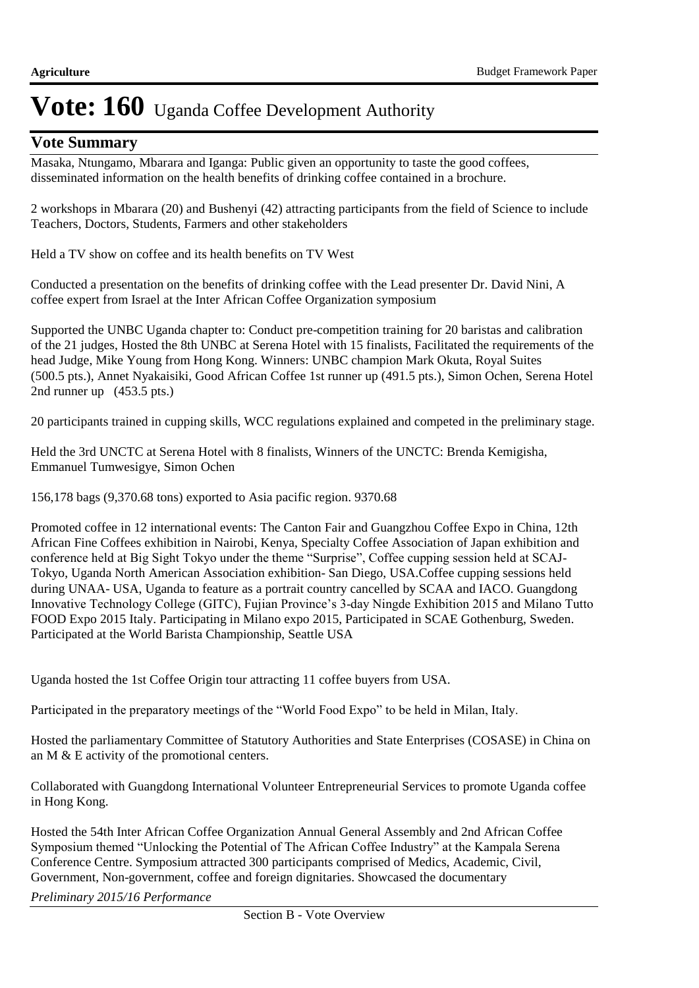## **Vote Summary**

Masaka, Ntungamo, Mbarara and Iganga: Public given an opportunity to taste the good coffees, disseminated information on the health benefits of drinking coffee contained in a brochure.

2 workshops in Mbarara (20) and Bushenyi (42) attracting participants from the field of Science to include Teachers, Doctors, Students, Farmers and other stakeholders

Held a TV show on coffee and its health benefits on TV West

Conducted a presentation on the benefits of drinking coffee with the Lead presenter Dr. David Nini, A coffee expert from Israel at the Inter African Coffee Organization symposium

Supported the UNBC Uganda chapter to: Conduct pre-competition training for 20 baristas and calibration of the 21 judges, Hosted the 8th UNBC at Serena Hotel with 15 finalists, Facilitated the requirements of the head Judge, Mike Young from Hong Kong. Winners: UNBC champion Mark Okuta, Royal Suites (500.5 pts.), Annet Nyakaisiki, Good African Coffee 1st runner up (491.5 pts.), Simon Ochen, Serena Hotel 2nd runner up (453.5 pts.)

20 participants trained in cupping skills, WCC regulations explained and competed in the preliminary stage.

Held the 3rd UNCTC at Serena Hotel with 8 finalists, Winners of the UNCTC: Brenda Kemigisha, Emmanuel Tumwesigye, Simon Ochen

156,178 bags (9,370.68 tons) exported to Asia pacific region. 9370.68

Promoted coffee in 12 international events: The Canton Fair and Guangzhou Coffee Expo in China, 12th African Fine Coffees exhibition in Nairobi, Kenya, Specialty Coffee Association of Japan exhibition and conference held at Big Sight Tokyo under the theme "Surprise", Coffee cupping session held at SCAJ-Tokyo, Uganda North American Association exhibition- San Diego, USA.Coffee cupping sessions held during UNAA- USA, Uganda to feature as a portrait country cancelled by SCAA and IACO. Guangdong Innovative Technology College (GITC), Fujian Province's 3-day Ningde Exhibition 2015 and Milano Tutto FOOD Expo 2015 Italy. Participating in Milano expo 2015, Participated in SCAE Gothenburg, Sweden. Participated at the World Barista Championship, Seattle USA

Uganda hosted the 1st Coffee Origin tour attracting 11 coffee buyers from USA.

Participated in the preparatory meetings of the "World Food Expo" to be held in Milan, Italy.

Hosted the parliamentary Committee of Statutory Authorities and State Enterprises (COSASE) in China on an M & E activity of the promotional centers.

Collaborated with Guangdong International Volunteer Entrepreneurial Services to promote Uganda coffee in Hong Kong.

Hosted the 54th Inter African Coffee Organization Annual General Assembly and 2nd African Coffee Symposium themed "Unlocking the Potential of The African Coffee Industry" at the Kampala Serena Conference Centre. Symposium attracted 300 participants comprised of Medics, Academic, Civil, Government, Non-government, coffee and foreign dignitaries. Showcased the documentary

*Preliminary 2015/16 Performance*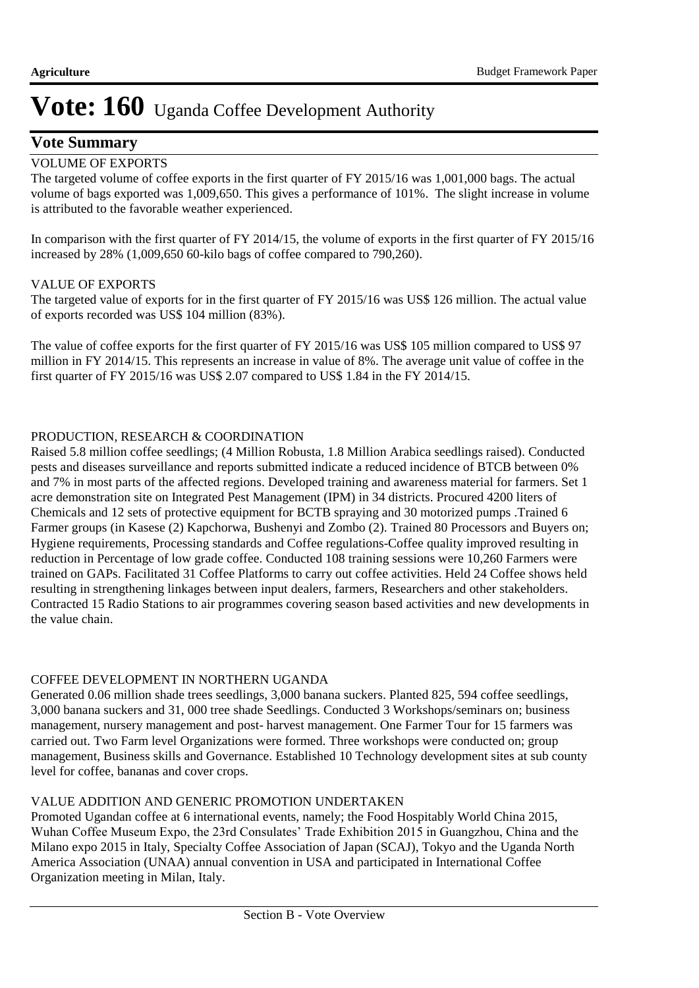## $\bf{V}$ ote  $\bf{Summary}$

## VOLUME OF EXPORTS

The targeted volume of coffee exports in the first quarter of FY 2015/16 was 1,001,000 bags. The actual volume of bags exported was 1,009,650. This gives a performance of 101%. The slight increase in volume is attributed to the favorable weather experienced.

In comparison with the first quarter of FY 2014/15, the volume of exports in the first quarter of FY 2015/16 increased by 28% (1,009,650 60-kilo bags of coffee compared to 790,260).

## VALUE OF EXPORTS

The targeted value of exports for in the first quarter of FY 2015/16 was US\$ 126 million. The actual value of exports recorded was US\$ 104 million (83%).

The value of coffee exports for the first quarter of FY 2015/16 was US\$ 105 million compared to US\$ 97 million in FY 2014/15. This represents an increase in value of 8%. The average unit value of coffee in the first quarter of FY 2015/16 was US\$ 2.07 compared to US\$ 1.84 in the FY 2014/15.

### PRODUCTION, RESEARCH & COORDINATION

Raised 5.8 million coffee seedlings; (4 Million Robusta, 1.8 Million Arabica seedlings raised). Conducted pests and diseases surveillance and reports submitted indicate a reduced incidence of BTCB between 0% and 7% in most parts of the affected regions. Developed training and awareness material for farmers. Set 1 acre demonstration site on Integrated Pest Management (IPM) in 34 districts. Procured 4200 liters of Chemicals and 12 sets of protective equipment for BCTB spraying and 30 motorized pumps .Trained 6 Farmer groups (in Kasese (2) Kapchorwa, Bushenyi and Zombo (2). Trained 80 Processors and Buyers on; Hygiene requirements, Processing standards and Coffee regulations-Coffee quality improved resulting in reduction in Percentage of low grade coffee. Conducted 108 training sessions were 10,260 Farmers were trained on GAPs. Facilitated 31 Coffee Platforms to carry out coffee activities. Held 24 Coffee shows held resulting in strengthening linkages between input dealers, farmers, Researchers and other stakeholders. Contracted 15 Radio Stations to air programmes covering season based activities and new developments in the value chain.

#### COFFEE DEVELOPMENT IN NORTHERN UGANDA

Generated 0.06 million shade trees seedlings, 3,000 banana suckers. Planted 825, 594 coffee seedlings, 3,000 banana suckers and 31, 000 tree shade Seedlings. Conducted 3 Workshops/seminars on; business management, nursery management and post- harvest management. One Farmer Tour for 15 farmers was carried out. Two Farm level Organizations were formed. Three workshops were conducted on; group management, Business skills and Governance. Established 10 Technology development sites at sub county level for coffee, bananas and cover crops.

#### VALUE ADDITION AND GENERIC PROMOTION UNDERTAKEN

Promoted Ugandan coffee at 6 international events, namely; the Food Hospitably World China 2015, Wuhan Coffee Museum Expo, the 23rd Consulates' Trade Exhibition 2015 in Guangzhou, China and the Milano expo 2015 in Italy, Specialty Coffee Association of Japan (SCAJ), Tokyo and the Uganda North America Association (UNAA) annual convention in USA and participated in International Coffee Organization meeting in Milan, Italy.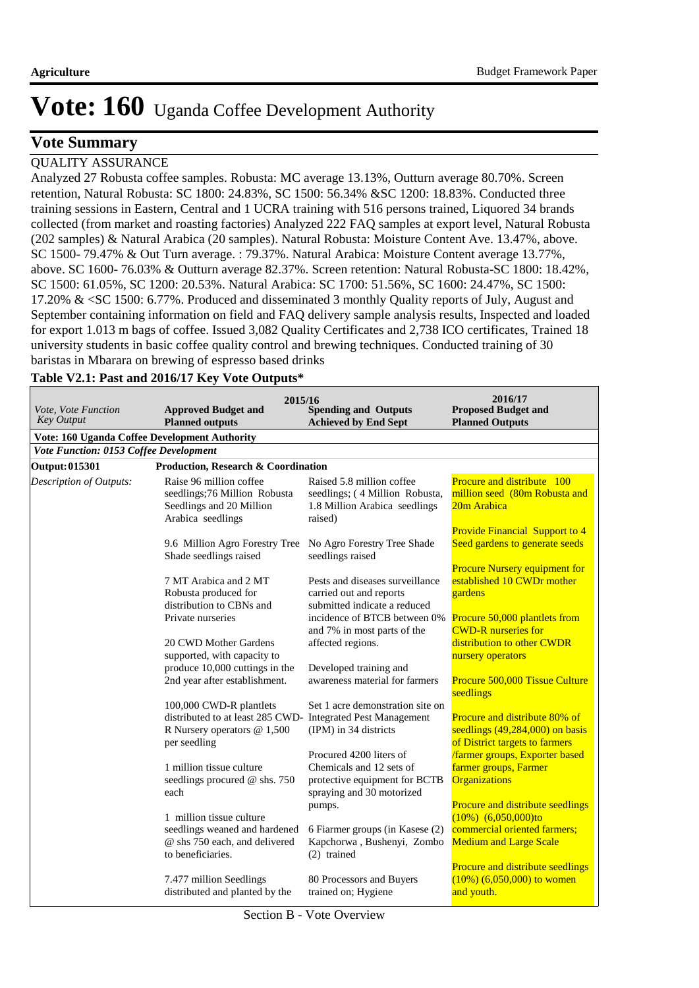## **Vote Summary**

### QUALITY ASSURANCE

Analyzed 27 Robusta coffee samples. Robusta: MC average 13.13%, Outturn average 80.70%. Screen retention, Natural Robusta: SC 1800: 24.83%, SC 1500: 56.34% &SC 1200: 18.83%. Conducted three training sessions in Eastern, Central and 1 UCRA training with 516 persons trained, Liquored 34 brands collected (from market and roasting factories) Analyzed 222 FAQ samples at export level, Natural Robusta (202 samples) & Natural Arabica (20 samples). Natural Robusta: Moisture Content Ave. 13.47%, above. SC 1500- 79.47% & Out Turn average. : 79.37%. Natural Arabica: Moisture Content average 13.77%, above. SC 1600- 76.03% & Outturn average 82.37%. Screen retention: Natural Robusta-SC 1800: 18.42%, SC 1500: 61.05%, SC 1200: 20.53%. Natural Arabica: SC 1700: 51.56%, SC 1600: 24.47%, SC 1500: 17.20% & <SC 1500: 6.77%. Produced and disseminated 3 monthly Quality reports of July, August and September containing information on field and FAQ delivery sample analysis results, Inspected and loaded for export 1.013 m bags of coffee. Issued 3,082 Quality Certificates and 2,738 ICO certificates, Trained 18 university students in basic coffee quality control and brewing techniques. Conducted training of 30 baristas in Mbarara on brewing of espresso based drinks

| Vote, Vote Function<br><b>Key Output</b>                                                | 2015/16<br><b>Approved Budget and</b><br><b>Planned outputs</b>                                          | <b>Spending and Outputs</b><br><b>Achieved by End Sept</b>                                              | 2016/17<br><b>Proposed Budget and</b><br><b>Planned Outputs</b>            |  |  |  |
|-----------------------------------------------------------------------------------------|----------------------------------------------------------------------------------------------------------|---------------------------------------------------------------------------------------------------------|----------------------------------------------------------------------------|--|--|--|
| Vote: 160 Uganda Coffee Development Authority<br>Vote Function: 0153 Coffee Development |                                                                                                          |                                                                                                         |                                                                            |  |  |  |
| <b>Output: 015301</b>                                                                   | Production, Research & Coordination                                                                      |                                                                                                         |                                                                            |  |  |  |
|                                                                                         |                                                                                                          |                                                                                                         |                                                                            |  |  |  |
| Description of Outputs:                                                                 | Raise 96 million coffee<br>seedlings;76 Million Robusta<br>Seedlings and 20 Million<br>Arabica seedlings | Raised 5.8 million coffee<br>seedlings; (4 Million Robusta,<br>1.8 Million Arabica seedlings<br>raised) | Procure and distribute 100<br>million seed (80m Robusta and<br>20m Arabica |  |  |  |
|                                                                                         |                                                                                                          |                                                                                                         | <b>Provide Financial Support to 4</b>                                      |  |  |  |
|                                                                                         | 9.6 Million Agro Forestry Tree<br>Shade seedlings raised                                                 | No Agro Forestry Tree Shade<br>seedlings raised                                                         | Seed gardens to generate seeds                                             |  |  |  |
|                                                                                         |                                                                                                          |                                                                                                         | <b>Procure Nursery equipment for</b>                                       |  |  |  |
|                                                                                         | 7 MT Arabica and 2 MT                                                                                    | Pests and diseases surveillance                                                                         | established 10 CWDr mother                                                 |  |  |  |
|                                                                                         | Robusta produced for                                                                                     | carried out and reports                                                                                 | gardens                                                                    |  |  |  |
|                                                                                         | distribution to CBNs and                                                                                 | submitted indicate a reduced                                                                            |                                                                            |  |  |  |
|                                                                                         | Private nurseries                                                                                        | incidence of BTCB between 0%<br>and 7% in most parts of the                                             | Procure 50,000 plantlets from<br><b>CWD-R</b> nurseries for                |  |  |  |
|                                                                                         | 20 CWD Mother Gardens                                                                                    | affected regions.                                                                                       | distribution to other CWDR                                                 |  |  |  |
|                                                                                         | supported, with capacity to                                                                              |                                                                                                         | nursery operators                                                          |  |  |  |
|                                                                                         | produce 10,000 cuttings in the                                                                           | Developed training and                                                                                  |                                                                            |  |  |  |
|                                                                                         | 2nd year after establishment.                                                                            | awareness material for farmers                                                                          | Procure 500,000 Tissue Culture<br>seedlings                                |  |  |  |
|                                                                                         | 100,000 CWD-R plantlets                                                                                  | Set 1 acre demonstration site on                                                                        |                                                                            |  |  |  |
|                                                                                         | distributed to at least 285 CWD-                                                                         | <b>Integrated Pest Management</b>                                                                       | <b>Procure and distribute 80% of</b>                                       |  |  |  |
|                                                                                         | R Nursery operators @ 1,500                                                                              | (IPM) in 34 districts                                                                                   | seedlings $(49, 284, 000)$ on basis                                        |  |  |  |
|                                                                                         | per seedling                                                                                             |                                                                                                         | of District targets to farmers                                             |  |  |  |
|                                                                                         |                                                                                                          | Procured 4200 liters of                                                                                 | /farmer groups, Exporter based                                             |  |  |  |
|                                                                                         | 1 million tissue culture                                                                                 | Chemicals and 12 sets of                                                                                | farmer groups, Farmer                                                      |  |  |  |
|                                                                                         | seedlings procured $\omega$ shs. 750<br>each                                                             | protective equipment for BCTB<br>spraying and 30 motorized                                              | <b>Organizations</b>                                                       |  |  |  |
|                                                                                         |                                                                                                          | pumps.                                                                                                  | Procure and distribute seedlings                                           |  |  |  |
|                                                                                         | 1 million tissue culture                                                                                 |                                                                                                         | $(10\%)$ $(6,050,000)$ to                                                  |  |  |  |
|                                                                                         | seedlings weaned and hardened                                                                            | 6 Fiarmer groups (in Kasese (2)                                                                         | commercial oriented farmers;                                               |  |  |  |
|                                                                                         | @ shs 750 each, and delivered<br>to beneficiaries.                                                       | Kapchorwa, Bushenyi, Zombo<br>(2) trained                                                               | <b>Medium and Large Scale</b>                                              |  |  |  |
|                                                                                         |                                                                                                          |                                                                                                         | Procure and distribute seedlings                                           |  |  |  |
|                                                                                         | 7.477 million Seedlings<br>distributed and planted by the                                                | 80 Processors and Buyers<br>trained on; Hygiene                                                         | $(10\%)$ (6,050,000) to women<br>and youth.                                |  |  |  |

### **Table V2.1: Past and 2016/17 Key Vote Outputs\***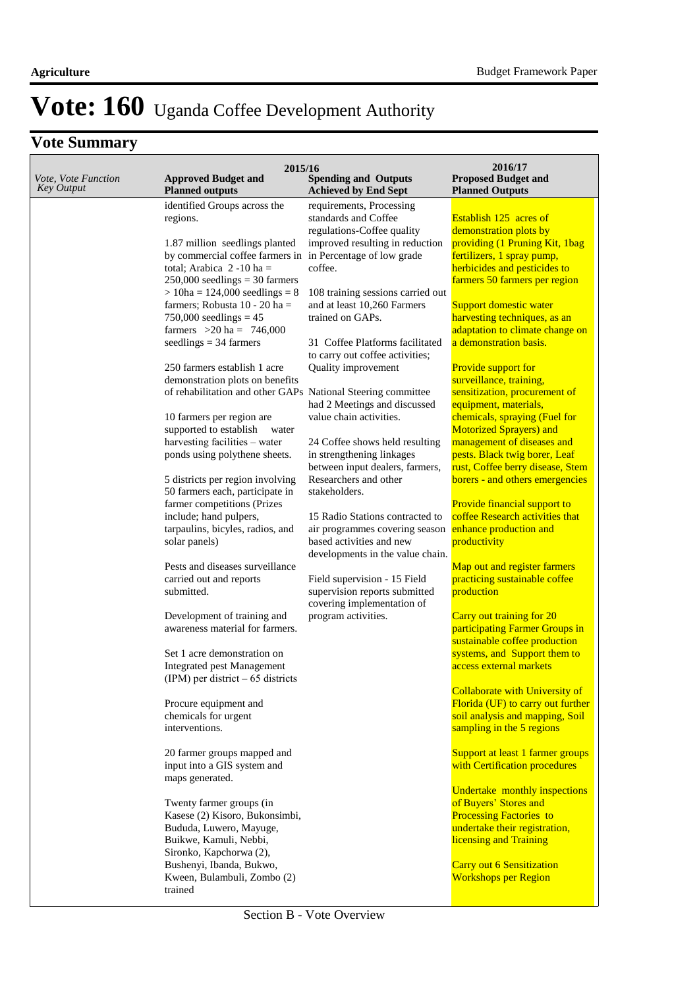|                                          | 2016/17<br>2015/16                                                                                                                                                                                                                                                                                                                                                                                                                                                                                                                                                                                                                                                                                                                                                                                                                                                                                                                                                                                                                                                                                                                                                                                                     |                                                                                                                                                                                                                                                                                                                                                                                                                                                                                                                                                                                                                                                                                                                                                                                                                   |                                                                                                                                                                                                                                                                                                                                                                                                                                                                                                                                                                                                                                                                                                                                                                                                                                                                                                                                                                                                                                                                                                                                                                                                                                                 |  |  |  |
|------------------------------------------|------------------------------------------------------------------------------------------------------------------------------------------------------------------------------------------------------------------------------------------------------------------------------------------------------------------------------------------------------------------------------------------------------------------------------------------------------------------------------------------------------------------------------------------------------------------------------------------------------------------------------------------------------------------------------------------------------------------------------------------------------------------------------------------------------------------------------------------------------------------------------------------------------------------------------------------------------------------------------------------------------------------------------------------------------------------------------------------------------------------------------------------------------------------------------------------------------------------------|-------------------------------------------------------------------------------------------------------------------------------------------------------------------------------------------------------------------------------------------------------------------------------------------------------------------------------------------------------------------------------------------------------------------------------------------------------------------------------------------------------------------------------------------------------------------------------------------------------------------------------------------------------------------------------------------------------------------------------------------------------------------------------------------------------------------|-------------------------------------------------------------------------------------------------------------------------------------------------------------------------------------------------------------------------------------------------------------------------------------------------------------------------------------------------------------------------------------------------------------------------------------------------------------------------------------------------------------------------------------------------------------------------------------------------------------------------------------------------------------------------------------------------------------------------------------------------------------------------------------------------------------------------------------------------------------------------------------------------------------------------------------------------------------------------------------------------------------------------------------------------------------------------------------------------------------------------------------------------------------------------------------------------------------------------------------------------|--|--|--|
| <i>Vote, Vote Function</i><br>Key Output | <b>Approved Budget and</b><br><b>Planned outputs</b>                                                                                                                                                                                                                                                                                                                                                                                                                                                                                                                                                                                                                                                                                                                                                                                                                                                                                                                                                                                                                                                                                                                                                                   | <b>Spending and Outputs</b><br><b>Achieved by End Sept</b>                                                                                                                                                                                                                                                                                                                                                                                                                                                                                                                                                                                                                                                                                                                                                        | <b>Proposed Budget and</b><br><b>Planned Outputs</b>                                                                                                                                                                                                                                                                                                                                                                                                                                                                                                                                                                                                                                                                                                                                                                                                                                                                                                                                                                                                                                                                                                                                                                                            |  |  |  |
|                                          | identified Groups across the<br>regions.<br>1.87 million seedlings planted<br>by commercial coffee farmers in<br>total; Arabica $2 - 10$ ha =<br>$250,000$ seedlings = 30 farmers<br>$> 10ha = 124,000$ seedlings = 8<br>farmers; Robusta $10 - 20$ ha =<br>$750,000$ seedlings = 45<br>farmers $>20$ ha = 746,000<br>seedlings $=$ 34 farmers<br>250 farmers establish 1 acre<br>demonstration plots on benefits<br>of rehabilitation and other GAPs National Steering committee<br>10 farmers per region are<br>supported to establish<br>water<br>harvesting facilities - water<br>ponds using polythene sheets.<br>5 districts per region involving<br>50 farmers each, participate in<br>farmer competitions (Prizes<br>include; hand pulpers,<br>tarpaulins, bicyles, radios, and<br>solar panels)<br>Pests and diseases surveillance<br>carried out and reports<br>submitted.<br>Development of training and<br>awareness material for farmers.<br>Set 1 acre demonstration on<br><b>Integrated pest Management</b><br>$(IPM)$ per district $-65$ districts<br>Procure equipment and<br>chemicals for urgent<br>interventions.<br>20 farmer groups mapped and<br>input into a GIS system and<br>maps generated. | requirements, Processing<br>standards and Coffee<br>regulations-Coffee quality<br>improved resulting in reduction<br>in Percentage of low grade<br>coffee.<br>108 training sessions carried out<br>and at least 10,260 Farmers<br>trained on GAPs.<br>31 Coffee Platforms facilitated<br>to carry out coffee activities;<br>Quality improvement<br>had 2 Meetings and discussed<br>value chain activities.<br>24 Coffee shows held resulting<br>in strengthening linkages<br>between input dealers, farmers,<br>Researchers and other<br>stakeholders.<br>15 Radio Stations contracted to<br>air programmes covering season<br>based activities and new<br>developments in the value chain.<br>Field supervision - 15 Field<br>supervision reports submitted<br>covering implementation of<br>program activities. | Establish 125 acres of<br>demonstration plots by<br>providing (1 Pruning Kit, 1bag<br>fertilizers, 1 spray pump,<br>herbicides and pesticides to<br>farmers 50 farmers per region<br><b>Support domestic water</b><br>harvesting techniques, as an<br>adaptation to climate change on<br>a demonstration basis.<br>Provide support for<br>surveillance, training,<br>sensitization, procurement of<br>equipment, materials,<br>chemicals, spraying (Fuel for<br><b>Motorized Sprayers) and</b><br>management of diseases and<br>pests. Black twig borer, Leaf<br>rust, Coffee berry disease, Stem<br>borers - and others emergencies<br>Provide financial support to<br>coffee Research activities that<br>enhance production and<br>productivity<br>Map out and register farmers<br>practicing sustainable coffee<br>production<br>Carry out training for 20<br>participating Farmer Groups in<br>sustainable coffee production<br>systems, and Support them to<br>access external markets<br><b>Collaborate with University of</b><br>Florida (UF) to carry out further<br>soil analysis and mapping, Soil<br>sampling in the 5 regions<br>Support at least 1 farmer groups<br>with Certification procedures<br>Undertake monthly inspections |  |  |  |
|                                          |                                                                                                                                                                                                                                                                                                                                                                                                                                                                                                                                                                                                                                                                                                                                                                                                                                                                                                                                                                                                                                                                                                                                                                                                                        |                                                                                                                                                                                                                                                                                                                                                                                                                                                                                                                                                                                                                                                                                                                                                                                                                   |                                                                                                                                                                                                                                                                                                                                                                                                                                                                                                                                                                                                                                                                                                                                                                                                                                                                                                                                                                                                                                                                                                                                                                                                                                                 |  |  |  |
|                                          | Twenty farmer groups (in<br>Kasese (2) Kisoro, Bukonsimbi,<br>Bududa, Luwero, Mayuge,<br>Buikwe, Kamuli, Nebbi,<br>Sironko, Kapchorwa (2),<br>Bushenyi, Ibanda, Bukwo,<br>Kween, Bulambuli, Zombo (2)<br>trained                                                                                                                                                                                                                                                                                                                                                                                                                                                                                                                                                                                                                                                                                                                                                                                                                                                                                                                                                                                                       |                                                                                                                                                                                                                                                                                                                                                                                                                                                                                                                                                                                                                                                                                                                                                                                                                   | of Buyers' Stores and<br><b>Processing Factories to</b><br>undertake their registration,<br>licensing and Training<br><b>Carry out 6 Sensitization</b><br><b>Workshops per Region</b>                                                                                                                                                                                                                                                                                                                                                                                                                                                                                                                                                                                                                                                                                                                                                                                                                                                                                                                                                                                                                                                           |  |  |  |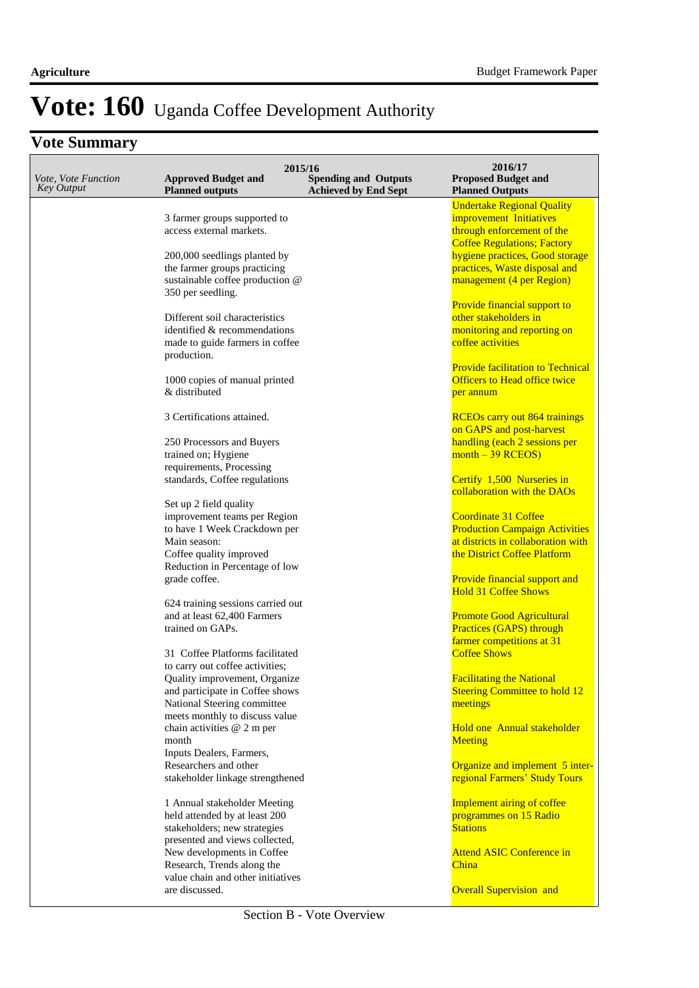| Vote, Vote Function<br><b>Key Output</b> | 2015/16<br><b>Approved Budget and</b><br><b>Planned outputs</b> | <b>Spending and Outputs</b><br><b>Achieved by End Sept</b> | 2016/17<br><b>Proposed Budget and</b><br><b>Planned Outputs</b> |
|------------------------------------------|-----------------------------------------------------------------|------------------------------------------------------------|-----------------------------------------------------------------|
|                                          |                                                                 |                                                            | <b>Undertake Regional Quality</b>                               |
|                                          | 3 farmer groups supported to                                    |                                                            | improvement Initiatives                                         |
|                                          | access external markets.                                        |                                                            | through enforcement of the                                      |
|                                          |                                                                 |                                                            | <b>Coffee Regulations; Factory</b>                              |
|                                          | 200,000 seedlings planted by                                    |                                                            | hygiene practices, Good storage                                 |
|                                          | the farmer groups practicing                                    |                                                            | practices, Waste disposal and                                   |
|                                          | sustainable coffee production @                                 |                                                            | management (4 per Region)                                       |
|                                          | 350 per seedling.                                               |                                                            |                                                                 |
|                                          |                                                                 |                                                            | Provide financial support to                                    |
|                                          | Different soil characteristics                                  |                                                            | other stakeholders in                                           |
|                                          | identified & recommendations                                    |                                                            | monitoring and reporting on                                     |
|                                          | made to guide farmers in coffee                                 |                                                            | coffee activities                                               |
|                                          | production.                                                     |                                                            |                                                                 |
|                                          |                                                                 |                                                            | <b>Provide facilitation to Technical</b>                        |
|                                          | 1000 copies of manual printed                                   |                                                            | <b>Officers to Head office twice</b>                            |
|                                          | & distributed                                                   |                                                            | per annum                                                       |
|                                          |                                                                 |                                                            |                                                                 |
|                                          | 3 Certifications attained.                                      |                                                            | <b>RCEOs carry out 864 trainings</b>                            |
|                                          |                                                                 |                                                            | on GAPS and post-harvest                                        |
|                                          | 250 Processors and Buyers                                       |                                                            | handling (each 2 sessions per                                   |
|                                          | trained on; Hygiene                                             |                                                            | $month - 39$ RCEOS)                                             |
|                                          | requirements, Processing                                        |                                                            |                                                                 |
|                                          | standards, Coffee regulations                                   |                                                            | Certify 1,500 Nurseries in                                      |
|                                          |                                                                 |                                                            | collaboration with the DAOs                                     |
|                                          |                                                                 |                                                            |                                                                 |
|                                          | Set up 2 field quality                                          |                                                            |                                                                 |
|                                          | improvement teams per Region                                    |                                                            | <b>Coordinate 31 Coffee</b>                                     |
|                                          | to have 1 Week Crackdown per                                    |                                                            | <b>Production Campaign Activities</b>                           |
|                                          | Main season:                                                    |                                                            | at districts in collaboration with                              |
|                                          | Coffee quality improved                                         |                                                            | the District Coffee Platform                                    |
|                                          | Reduction in Percentage of low                                  |                                                            |                                                                 |
|                                          | grade coffee.                                                   |                                                            | Provide financial support and                                   |
|                                          |                                                                 |                                                            | <b>Hold 31 Coffee Shows</b>                                     |
|                                          | 624 training sessions carried out                               |                                                            |                                                                 |
|                                          | and at least 62,400 Farmers                                     |                                                            | <b>Promote Good Agricultural</b>                                |
|                                          | trained on GAPs.                                                |                                                            | Practices (GAPS) through                                        |
|                                          |                                                                 |                                                            | farmer competitions at 31                                       |
|                                          | 31 Coffee Platforms facilitated                                 |                                                            | <b>Coffee Shows</b>                                             |
|                                          | to carry out coffee activities;                                 |                                                            |                                                                 |
|                                          | Quality improvement, Organize                                   |                                                            | <b>Facilitating the National</b>                                |
|                                          | and participate in Coffee shows                                 |                                                            | <b>Steering Committee to hold 12</b>                            |
|                                          | National Steering committee                                     |                                                            | meetings                                                        |
|                                          | meets monthly to discuss value                                  |                                                            |                                                                 |
|                                          | chain activities @ 2 m per                                      |                                                            | Hold one Annual stakeholder                                     |
|                                          | month                                                           |                                                            | <b>Meeting</b>                                                  |
|                                          | Inputs Dealers, Farmers,                                        |                                                            |                                                                 |
|                                          | Researchers and other                                           |                                                            | Organize and implement 5 inter-                                 |
|                                          | stakeholder linkage strengthened                                |                                                            | regional Farmers' Study Tours                                   |
|                                          |                                                                 |                                                            |                                                                 |
|                                          | 1 Annual stakeholder Meeting                                    |                                                            | Implement airing of coffee                                      |
|                                          | held attended by at least 200                                   |                                                            | programmes on 15 Radio                                          |
|                                          | stakeholders; new strategies                                    |                                                            | <b>Stations</b>                                                 |
|                                          | presented and views collected,                                  |                                                            |                                                                 |
|                                          | New developments in Coffee                                      |                                                            | <b>Attend ASIC Conference in</b>                                |
|                                          | Research, Trends along the                                      |                                                            | China                                                           |
|                                          | value chain and other initiatives                               |                                                            |                                                                 |
|                                          | are discussed.                                                  |                                                            | <b>Overall Supervision and</b>                                  |
|                                          |                                                                 |                                                            |                                                                 |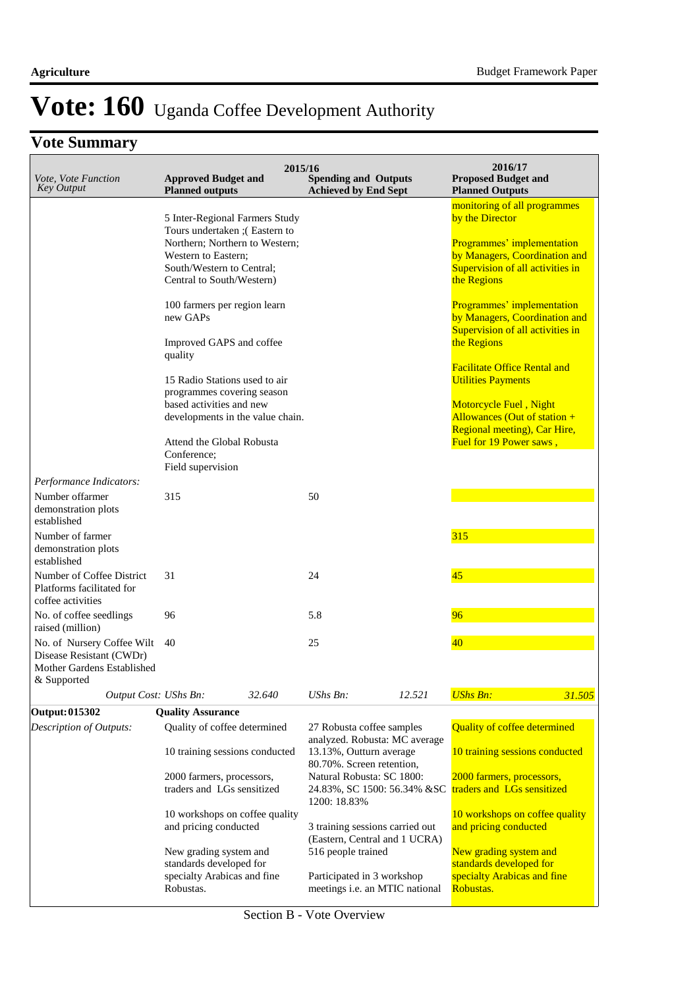| Vote, Vote Function<br><b>Key Output</b>                                                            | <b>Approved Budget and</b><br><b>Planned outputs</b>                                                            | 2015/16 | <b>Spending and Outputs</b><br><b>Achieved by End Sept</b>                                             |        | 2016/17<br><b>Proposed Budget and</b><br><b>Planned Outputs</b>                                                     |
|-----------------------------------------------------------------------------------------------------|-----------------------------------------------------------------------------------------------------------------|---------|--------------------------------------------------------------------------------------------------------|--------|---------------------------------------------------------------------------------------------------------------------|
|                                                                                                     | 5 Inter-Regional Farmers Study<br>Tours undertaken; (Eastern to                                                 |         |                                                                                                        |        | monitoring of all programmes<br>by the Director                                                                     |
|                                                                                                     | Northern; Northern to Western;<br>Western to Eastern;<br>South/Western to Central;<br>Central to South/Western) |         |                                                                                                        |        | Programmes' implementation<br>by Managers, Coordination and<br>Supervision of all activities in<br>the Regions      |
|                                                                                                     | 100 farmers per region learn<br>new GAPs<br>Improved GAPS and coffee                                            |         |                                                                                                        |        | Programmes' implementation<br>by Managers, Coordination and<br>Supervision of all activities in<br>the Regions      |
|                                                                                                     | quality<br>15 Radio Stations used to air<br>programmes covering season                                          |         |                                                                                                        |        | <b>Facilitate Office Rental and</b><br><b>Utilities Payments</b>                                                    |
|                                                                                                     | based activities and new<br>developments in the value chain.<br>Attend the Global Robusta                       |         |                                                                                                        |        | Motorcycle Fuel, Night<br>Allowances (Out of station $+$<br>Regional meeting), Car Hire,<br>Fuel for 19 Power saws, |
|                                                                                                     | Conference;<br>Field supervision                                                                                |         |                                                                                                        |        |                                                                                                                     |
| Performance Indicators:                                                                             |                                                                                                                 |         |                                                                                                        |        |                                                                                                                     |
| Number offarmer<br>demonstration plots<br>established                                               | 315                                                                                                             |         | 50                                                                                                     |        |                                                                                                                     |
| Number of farmer<br>demonstration plots<br>established                                              |                                                                                                                 |         |                                                                                                        |        | 315                                                                                                                 |
| Number of Coffee District<br>Platforms facilitated for<br>coffee activities                         | 31                                                                                                              |         | 24                                                                                                     |        | 45                                                                                                                  |
| No. of coffee seedlings<br>raised (million)                                                         | 96                                                                                                              |         | 5.8                                                                                                    |        | 96                                                                                                                  |
| No. of Nursery Coffee Wilt<br>Disease Resistant (CWDr)<br>Mother Gardens Established<br>& Supported | 40                                                                                                              |         | 25                                                                                                     |        | 40                                                                                                                  |
| Output Cost: UShs Bn:                                                                               |                                                                                                                 | 32.640  | UShs Bn:                                                                                               | 12.521 | <b>UShs Bn:</b><br>31.505                                                                                           |
| <b>Output: 015302</b>                                                                               | <b>Quality Assurance</b>                                                                                        |         |                                                                                                        |        |                                                                                                                     |
| Description of Outputs:                                                                             | Quality of coffee determined<br>10 training sessions conducted                                                  |         | 27 Robusta coffee samples<br>analyzed. Robusta: MC average<br>13.13%, Outturn average                  |        | <b>Quality of coffee determined</b><br>10 training sessions conducted                                               |
|                                                                                                     | 2000 farmers, processors,<br>traders and LGs sensitized                                                         |         | 80.70%. Screen retention,<br>Natural Robusta: SC 1800:<br>24.83%, SC 1500: 56.34% & SC<br>1200: 18.83% |        | 2000 farmers, processors,<br>traders and LGs sensitized                                                             |
|                                                                                                     | 10 workshops on coffee quality<br>and pricing conducted                                                         |         | 3 training sessions carried out<br>(Eastern, Central and 1 UCRA)                                       |        | 10 workshops on coffee quality<br>and pricing conducted                                                             |
|                                                                                                     | New grading system and<br>standards developed for<br>specialty Arabicas and fine<br>Robustas.                   |         | 516 people trained<br>Participated in 3 workshop<br>meetings i.e. an MTIC national                     |        | New grading system and<br>standards developed for<br>specialty Arabicas and fine<br>Robustas.                       |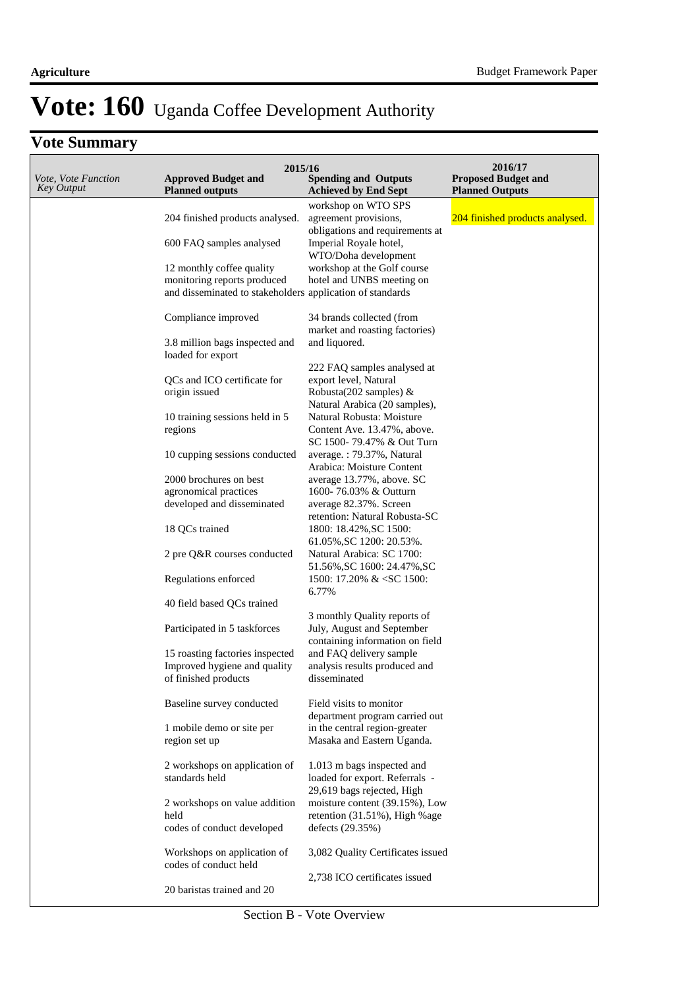|                                                 | 2015/16                                                   | 2016/17                                                      |                                                      |
|-------------------------------------------------|-----------------------------------------------------------|--------------------------------------------------------------|------------------------------------------------------|
| <i>Vote, Vote Function</i><br><b>Key Output</b> | <b>Approved Budget and</b><br><b>Planned outputs</b>      | <b>Spending and Outputs</b><br><b>Achieved by End Sept</b>   | <b>Proposed Budget and</b><br><b>Planned Outputs</b> |
|                                                 |                                                           | workshop on WTO SPS                                          |                                                      |
|                                                 | 204 finished products analysed.                           | agreement provisions,                                        | 204 finished products analysed.                      |
|                                                 |                                                           | obligations and requirements at                              |                                                      |
|                                                 | 600 FAQ samples analysed                                  | Imperial Royale hotel,<br>WTO/Doha development               |                                                      |
|                                                 | 12 monthly coffee quality                                 | workshop at the Golf course                                  |                                                      |
|                                                 | monitoring reports produced                               | hotel and UNBS meeting on                                    |                                                      |
|                                                 | and disseminated to stakeholders application of standards |                                                              |                                                      |
|                                                 | Compliance improved                                       | 34 brands collected (from<br>market and roasting factories)  |                                                      |
|                                                 | 3.8 million bags inspected and                            | and liquored.                                                |                                                      |
|                                                 | loaded for export                                         |                                                              |                                                      |
|                                                 |                                                           | 222 FAQ samples analysed at                                  |                                                      |
|                                                 | QCs and ICO certificate for                               | export level, Natural                                        |                                                      |
|                                                 | origin issued                                             | Robusta(202 samples) $&$                                     |                                                      |
|                                                 |                                                           | Natural Arabica (20 samples),                                |                                                      |
|                                                 | 10 training sessions held in 5                            | Natural Robusta: Moisture<br>Content Ave. 13.47%, above.     |                                                      |
|                                                 | regions                                                   | SC 1500-79.47% & Out Turn                                    |                                                      |
|                                                 | 10 cupping sessions conducted                             | average.: 79.37%, Natural                                    |                                                      |
|                                                 |                                                           | Arabica: Moisture Content                                    |                                                      |
|                                                 | 2000 brochures on best                                    | average 13.77%, above. SC                                    |                                                      |
|                                                 | agronomical practices                                     | 1600-76.03% & Outturn                                        |                                                      |
|                                                 | developed and disseminated                                | average 82.37%. Screen                                       |                                                      |
|                                                 |                                                           | retention: Natural Robusta-SC                                |                                                      |
|                                                 | 18 QCs trained                                            | 1800: 18.42%, SC 1500:                                       |                                                      |
|                                                 |                                                           | 61.05%, SC 1200: 20.53%.                                     |                                                      |
|                                                 | 2 pre Q&R courses conducted                               | Natural Arabica: SC 1700:                                    |                                                      |
|                                                 |                                                           | 51.56%, SC 1600: 24.47%, SC                                  |                                                      |
|                                                 | Regulations enforced                                      | 1500: 17.20% $<SC$ 1500:<br>6.77%                            |                                                      |
|                                                 | 40 field based QCs trained                                |                                                              |                                                      |
|                                                 |                                                           | 3 monthly Quality reports of                                 |                                                      |
|                                                 | Participated in 5 taskforces                              | July, August and September                                   |                                                      |
|                                                 |                                                           | containing information on field                              |                                                      |
|                                                 | 15 roasting factories inspected                           | and FAQ delivery sample                                      |                                                      |
|                                                 | Improved hygiene and quality                              | analysis results produced and                                |                                                      |
|                                                 | of finished products                                      | disseminated                                                 |                                                      |
|                                                 | Baseline survey conducted                                 | Field visits to monitor                                      |                                                      |
|                                                 |                                                           | department program carried out                               |                                                      |
|                                                 | 1 mobile demo or site per                                 | in the central region-greater                                |                                                      |
|                                                 | region set up                                             | Masaka and Eastern Uganda.                                   |                                                      |
|                                                 | 2 workshops on application of                             | 1.013 m bags inspected and                                   |                                                      |
|                                                 | standards held                                            | loaded for export. Referrals -                               |                                                      |
|                                                 |                                                           | 29,619 bags rejected, High<br>moisture content (39.15%), Low |                                                      |
|                                                 | 2 workshops on value addition<br>held                     | retention (31.51%), High %age                                |                                                      |
|                                                 | codes of conduct developed                                | defects (29.35%)                                             |                                                      |
|                                                 | Workshops on application of<br>codes of conduct held      | 3,082 Quality Certificates issued                            |                                                      |
|                                                 |                                                           | 2,738 ICO certificates issued                                |                                                      |
|                                                 | 20 baristas trained and 20                                |                                                              |                                                      |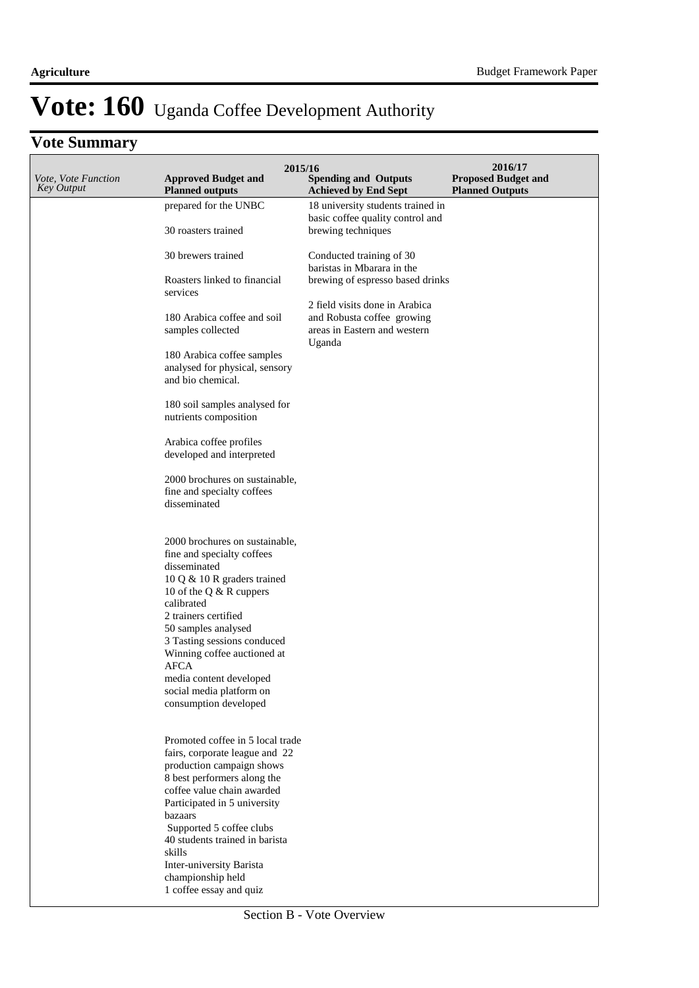| <i>Vote, Vote Function</i><br><b>Key Output</b> | 2015/16<br><b>Approved Budget and</b><br><b>Planned outputs</b>                                                                                                                                                                                                                                                                                                  | <b>Spending and Outputs</b><br><b>Achieved by End Sept</b>                                             | 2016/17<br><b>Proposed Budget and</b><br><b>Planned Outputs</b> |
|-------------------------------------------------|------------------------------------------------------------------------------------------------------------------------------------------------------------------------------------------------------------------------------------------------------------------------------------------------------------------------------------------------------------------|--------------------------------------------------------------------------------------------------------|-----------------------------------------------------------------|
|                                                 | prepared for the UNBC                                                                                                                                                                                                                                                                                                                                            | 18 university students trained in                                                                      |                                                                 |
|                                                 | 30 roasters trained                                                                                                                                                                                                                                                                                                                                              | basic coffee quality control and<br>brewing techniques                                                 |                                                                 |
|                                                 | 30 brewers trained                                                                                                                                                                                                                                                                                                                                               | Conducted training of 30<br>baristas in Mbarara in the                                                 |                                                                 |
|                                                 | Roasters linked to financial<br>services                                                                                                                                                                                                                                                                                                                         | brewing of espresso based drinks                                                                       |                                                                 |
|                                                 | 180 Arabica coffee and soil<br>samples collected                                                                                                                                                                                                                                                                                                                 | 2 field visits done in Arabica<br>and Robusta coffee growing<br>areas in Eastern and western<br>Uganda |                                                                 |
|                                                 | 180 Arabica coffee samples<br>analysed for physical, sensory<br>and bio chemical.                                                                                                                                                                                                                                                                                |                                                                                                        |                                                                 |
|                                                 | 180 soil samples analysed for<br>nutrients composition                                                                                                                                                                                                                                                                                                           |                                                                                                        |                                                                 |
|                                                 | Arabica coffee profiles<br>developed and interpreted                                                                                                                                                                                                                                                                                                             |                                                                                                        |                                                                 |
|                                                 | 2000 brochures on sustainable,<br>fine and specialty coffees<br>disseminated                                                                                                                                                                                                                                                                                     |                                                                                                        |                                                                 |
|                                                 | 2000 brochures on sustainable,<br>fine and specialty coffees<br>disseminated<br>10 Q & 10 R graders trained<br>10 of the Q & R cuppers<br>calibrated<br>2 trainers certified<br>50 samples analysed<br>3 Tasting sessions conduced<br>Winning coffee auctioned at<br><b>AFCA</b><br>media content developed<br>social media platform on<br>consumption developed |                                                                                                        |                                                                 |
|                                                 | Promoted coffee in 5 local trade<br>fairs, corporate league and 22<br>production campaign shows<br>8 best performers along the<br>coffee value chain awarded<br>Participated in 5 university<br>bazaars<br>Supported 5 coffee clubs<br>40 students trained in barista<br>skills<br>Inter-university Barista<br>championship held<br>1 coffee essay and quiz      |                                                                                                        |                                                                 |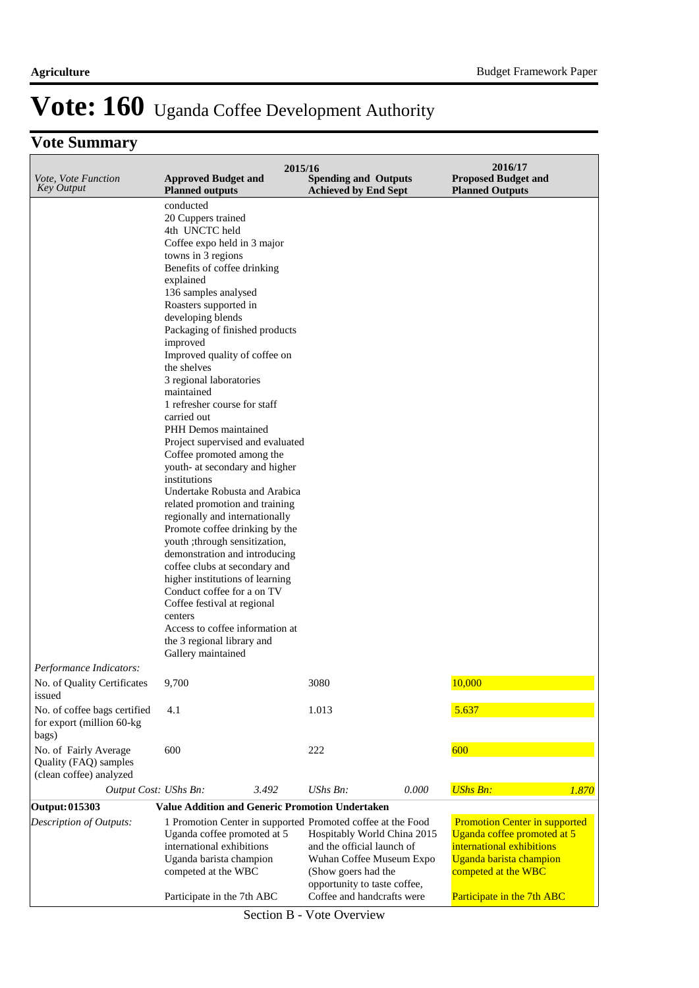## **Vote Summary**

| Vote, Vote Function<br><b>Key Output</b>                                  | 2015/16<br><b>Approved Budget and</b><br><b>Planned outputs</b>                                                                                                                                                                                                                                                                                                                                                                                                                                                                                                                                                                                                                                                                                                                                                                                                                                                                                                                                        | <b>Spending and Outputs</b><br><b>Achieved by End Sept</b>                                                                                                                 | 2016/17<br><b>Proposed Budget and</b><br><b>Planned Outputs</b>                                                                                                                  |
|---------------------------------------------------------------------------|--------------------------------------------------------------------------------------------------------------------------------------------------------------------------------------------------------------------------------------------------------------------------------------------------------------------------------------------------------------------------------------------------------------------------------------------------------------------------------------------------------------------------------------------------------------------------------------------------------------------------------------------------------------------------------------------------------------------------------------------------------------------------------------------------------------------------------------------------------------------------------------------------------------------------------------------------------------------------------------------------------|----------------------------------------------------------------------------------------------------------------------------------------------------------------------------|----------------------------------------------------------------------------------------------------------------------------------------------------------------------------------|
|                                                                           | conducted<br>20 Cuppers trained<br>4th UNCTC held<br>Coffee expo held in 3 major<br>towns in 3 regions<br>Benefits of coffee drinking<br>explained<br>136 samples analysed<br>Roasters supported in<br>developing blends<br>Packaging of finished products<br>improved<br>Improved quality of coffee on<br>the shelves<br>3 regional laboratories<br>maintained<br>1 refresher course for staff<br>carried out<br>PHH Demos maintained<br>Project supervised and evaluated<br>Coffee promoted among the<br>youth- at secondary and higher<br>institutions<br>Undertake Robusta and Arabica<br>related promotion and training<br>regionally and internationally<br>Promote coffee drinking by the<br>youth ; through sensitization,<br>demonstration and introducing<br>coffee clubs at secondary and<br>higher institutions of learning<br>Conduct coffee for a on TV<br>Coffee festival at regional<br>centers<br>Access to coffee information at<br>the 3 regional library and<br>Gallery maintained |                                                                                                                                                                            |                                                                                                                                                                                  |
| Performance Indicators:<br>No. of Quality Certificates<br>issued          | 9,700                                                                                                                                                                                                                                                                                                                                                                                                                                                                                                                                                                                                                                                                                                                                                                                                                                                                                                                                                                                                  | 3080                                                                                                                                                                       | 10,000                                                                                                                                                                           |
| No. of coffee bags certified<br>for export (million 60-kg<br>bags)        | 4.1                                                                                                                                                                                                                                                                                                                                                                                                                                                                                                                                                                                                                                                                                                                                                                                                                                                                                                                                                                                                    | 1.013                                                                                                                                                                      | 5.637                                                                                                                                                                            |
| No. of Fairly Average<br>Quality (FAQ) samples<br>(clean coffee) analyzed | 600                                                                                                                                                                                                                                                                                                                                                                                                                                                                                                                                                                                                                                                                                                                                                                                                                                                                                                                                                                                                    | 222                                                                                                                                                                        | 600                                                                                                                                                                              |
| Output Cost: UShs Bn:                                                     | 3.492                                                                                                                                                                                                                                                                                                                                                                                                                                                                                                                                                                                                                                                                                                                                                                                                                                                                                                                                                                                                  | $UShs Bn$ :<br>0.000                                                                                                                                                       | <b>UShs Bn:</b><br>1.870                                                                                                                                                         |
| Output: 015303                                                            | <b>Value Addition and Generic Promotion Undertaken</b>                                                                                                                                                                                                                                                                                                                                                                                                                                                                                                                                                                                                                                                                                                                                                                                                                                                                                                                                                 |                                                                                                                                                                            |                                                                                                                                                                                  |
| Description of Outputs:                                                   | 1 Promotion Center in supported Promoted coffee at the Food<br>Uganda coffee promoted at 5<br>international exhibitions<br>Uganda barista champion<br>competed at the WBC<br>Participate in the 7th ABC                                                                                                                                                                                                                                                                                                                                                                                                                                                                                                                                                                                                                                                                                                                                                                                                | Hospitably World China 2015<br>and the official launch of<br>Wuhan Coffee Museum Expo<br>(Show goers had the<br>opportunity to taste coffee,<br>Coffee and handcrafts were | <b>Promotion Center in supported</b><br>Uganda coffee promoted at 5<br>international exhibitions<br>Uganda barista champion<br>competed at the WBC<br>Participate in the 7th ABC |

Section B - Vote Overview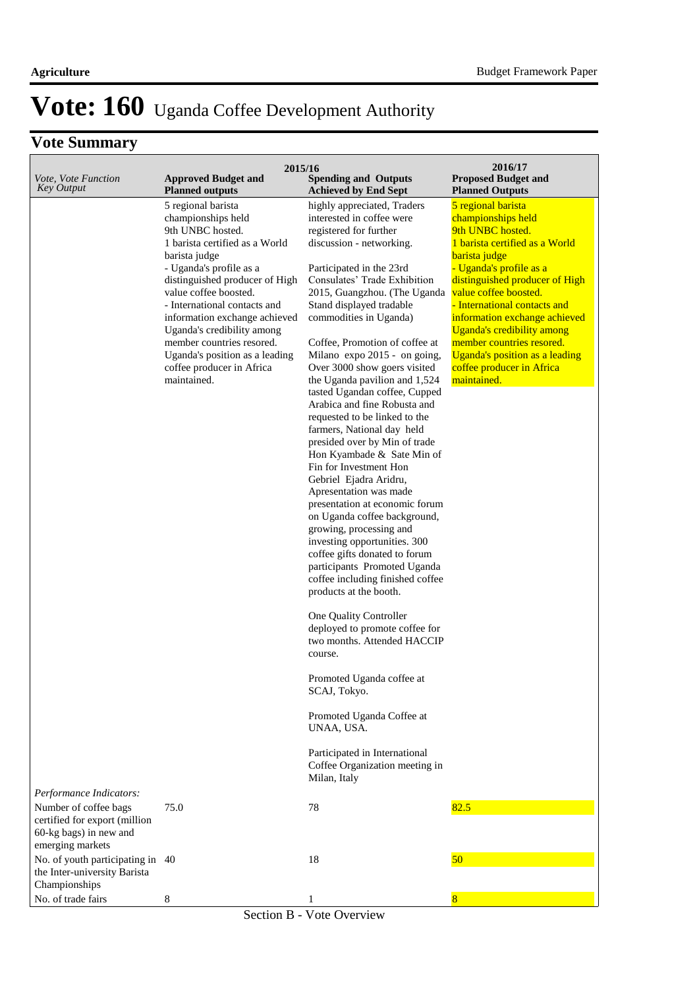|                                                 | 2015/16                                                   | 2016/17                                                                         |                                                           |
|-------------------------------------------------|-----------------------------------------------------------|---------------------------------------------------------------------------------|-----------------------------------------------------------|
| <i>Vote, Vote Function</i><br><b>Key Output</b> | <b>Approved Budget and</b><br><b>Planned outputs</b>      | <b>Spending and Outputs</b><br><b>Achieved by End Sept</b>                      | <b>Proposed Budget and</b><br><b>Planned Outputs</b>      |
|                                                 | 5 regional barista                                        | highly appreciated, Traders                                                     | 5 regional barista                                        |
|                                                 | championships held                                        | interested in coffee were                                                       | championships held                                        |
|                                                 | 9th UNBC hosted.                                          | registered for further                                                          | 9th UNBC hosted.                                          |
|                                                 | 1 barista certified as a World                            | discussion - networking.                                                        | 1 barista certified as a World                            |
|                                                 | barista judge                                             |                                                                                 | barista judge                                             |
|                                                 | - Uganda's profile as a<br>distinguished producer of High | Participated in the 23rd<br>Consulates' Trade Exhibition                        | - Uganda's profile as a<br>distinguished producer of High |
|                                                 | value coffee boosted.                                     | 2015, Guangzhou. (The Uganda                                                    | value coffee boosted.                                     |
|                                                 | - International contacts and                              | Stand displayed tradable                                                        | - International contacts and                              |
|                                                 | information exchange achieved                             | commodities in Uganda)                                                          | information exchange achieved                             |
|                                                 | Uganda's credibility among                                |                                                                                 | Uganda's credibility among                                |
|                                                 | member countries resored.                                 | Coffee, Promotion of coffee at                                                  | member countries resored.                                 |
|                                                 | Uganda's position as a leading                            | Milano expo 2015 - on going,                                                    | Uganda's position as a leading                            |
|                                                 | coffee producer in Africa                                 | Over 3000 show goers visited                                                    | coffee producer in Africa                                 |
|                                                 | maintained.                                               | the Uganda pavilion and 1,524<br>tasted Ugandan coffee, Cupped                  | maintained.                                               |
|                                                 |                                                           | Arabica and fine Robusta and                                                    |                                                           |
|                                                 |                                                           | requested to be linked to the                                                   |                                                           |
|                                                 |                                                           | farmers, National day held                                                      |                                                           |
|                                                 |                                                           | presided over by Min of trade                                                   |                                                           |
|                                                 |                                                           | Hon Kyambade & Sate Min of                                                      |                                                           |
|                                                 |                                                           | Fin for Investment Hon                                                          |                                                           |
|                                                 |                                                           | Gebriel Ejadra Aridru,                                                          |                                                           |
|                                                 |                                                           | Apresentation was made<br>presentation at economic forum                        |                                                           |
|                                                 |                                                           | on Uganda coffee background,                                                    |                                                           |
|                                                 |                                                           | growing, processing and                                                         |                                                           |
|                                                 |                                                           | investing opportunities. 300                                                    |                                                           |
|                                                 |                                                           | coffee gifts donated to forum                                                   |                                                           |
|                                                 |                                                           | participants Promoted Uganda                                                    |                                                           |
|                                                 |                                                           | coffee including finished coffee                                                |                                                           |
|                                                 |                                                           | products at the booth.                                                          |                                                           |
|                                                 |                                                           | One Quality Controller                                                          |                                                           |
|                                                 |                                                           | deployed to promote coffee for                                                  |                                                           |
|                                                 |                                                           | two months. Attended HACCIP                                                     |                                                           |
|                                                 |                                                           | course.                                                                         |                                                           |
|                                                 |                                                           | Promoted Uganda coffee at<br>SCAJ, Tokyo.                                       |                                                           |
|                                                 |                                                           | Promoted Uganda Coffee at                                                       |                                                           |
|                                                 |                                                           | UNAA, USA.                                                                      |                                                           |
|                                                 |                                                           | Participated in International<br>Coffee Organization meeting in<br>Milan, Italy |                                                           |
| Performance Indicators:                         |                                                           |                                                                                 |                                                           |
| Number of coffee bags                           | 75.0                                                      | 78                                                                              | 82.5                                                      |
| certified for export (million                   |                                                           |                                                                                 |                                                           |
| 60-kg bags) in new and                          |                                                           |                                                                                 |                                                           |
| emerging markets                                |                                                           |                                                                                 |                                                           |
| No. of youth participating in 40                |                                                           | 18                                                                              | 50                                                        |
| the Inter-university Barista<br>Championships   |                                                           |                                                                                 |                                                           |
| No. of trade fairs                              | 8                                                         | 1                                                                               | 8                                                         |
|                                                 |                                                           |                                                                                 |                                                           |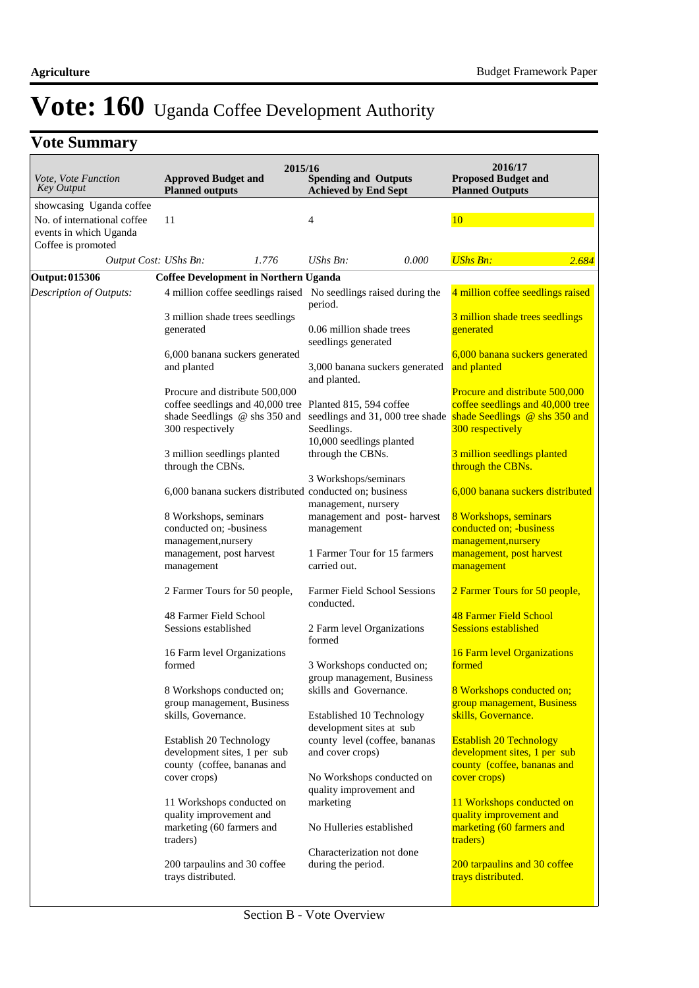| Vote, Vote Function<br><b>Key Output</b>     | 2015/16<br><b>Approved Budget and</b><br><b>Planned outputs</b>                            | <b>Spending and Outputs</b><br><b>Achieved by End Sept</b> | 2016/17<br><b>Proposed Budget and</b><br><b>Planned Outputs</b>                               |
|----------------------------------------------|--------------------------------------------------------------------------------------------|------------------------------------------------------------|-----------------------------------------------------------------------------------------------|
| showcasing Uganda coffee                     |                                                                                            |                                                            |                                                                                               |
| No. of international coffee                  | 11                                                                                         | $\overline{4}$                                             | 10                                                                                            |
| events in which Uganda<br>Coffee is promoted |                                                                                            |                                                            |                                                                                               |
| Output Cost: UShs Bn:                        | 1.776                                                                                      | $UShs Bn$ :<br>0.000                                       | <b>UShs Bn:</b><br>2.684                                                                      |
|                                              |                                                                                            |                                                            |                                                                                               |
| <b>Output: 015306</b>                        | <b>Coffee Development in Northern Uganda</b>                                               |                                                            |                                                                                               |
| Description of Outputs:                      | 4 million coffee seedlings raised No seedlings raised during the                           | period.                                                    | 4 million coffee seedlings raised                                                             |
|                                              | 3 million shade trees seedlings<br>generated                                               | 0.06 million shade trees<br>seedlings generated            | 3 million shade trees seedlings<br>generated                                                  |
|                                              | 6,000 banana suckers generated<br>and planted                                              | 3,000 banana suckers generated<br>and planted.             | 6,000 banana suckers generated<br>and planted                                                 |
|                                              | Procure and distribute 500,000<br>coffee seedlings and 40,000 tree Planted 815, 594 coffee |                                                            | Procure and distribute 500,000<br>coffee seedlings and 40,000 tree                            |
|                                              | shade Seedlings @ shs 350 and<br>300 respectively                                          | seedlings and 31, 000 tree shade<br>Seedlings.             | shade Seedlings @ shs 350 and<br>300 respectively                                             |
|                                              | 3 million seedlings planted<br>through the CBNs.                                           | 10,000 seedlings planted<br>through the CBNs.              | 3 million seedlings planted<br>through the CBNs.                                              |
|                                              | 6,000 banana suckers distributed conducted on; business                                    | 3 Workshops/seminars<br>management, nursery                | 6,000 banana suckers distributed                                                              |
|                                              | 8 Workshops, seminars                                                                      | management and post-harvest                                | 8 Workshops, seminars                                                                         |
|                                              | conducted on; -business                                                                    | management                                                 | conducted on; -business                                                                       |
|                                              | management, nursery                                                                        |                                                            | management, nursery                                                                           |
|                                              | management, post harvest<br>management                                                     | 1 Farmer Tour for 15 farmers<br>carried out.               | management, post harvest<br>management                                                        |
|                                              | 2 Farmer Tours for 50 people,                                                              | Farmer Field School Sessions<br>conducted.                 | 2 Farmer Tours for 50 people,                                                                 |
|                                              | 48 Farmer Field School                                                                     |                                                            | 48 Farmer Field School                                                                        |
|                                              | Sessions established                                                                       | 2 Farm level Organizations<br>formed                       | <b>Sessions established</b>                                                                   |
|                                              | 16 Farm level Organizations<br>formed                                                      | 3 Workshops conducted on;                                  | <b>16 Farm level Organizations</b><br>formed                                                  |
|                                              | 8 Workshops conducted on;<br>group management, Business                                    | group management, Business<br>skills and Governance.       | 8 Workshops conducted on;<br>group management, Business                                       |
|                                              | skills, Governance.                                                                        | Established 10 Technology<br>development sites at sub      | skills, Governance.                                                                           |
|                                              | Establish 20 Technology<br>development sites, 1 per sub<br>county (coffee, bananas and     | county level (coffee, bananas<br>and cover crops)          | <b>Establish 20 Technology</b><br>development sites, 1 per sub<br>county (coffee, bananas and |
|                                              | cover crops)                                                                               | No Workshops conducted on<br>quality improvement and       | cover crops)                                                                                  |
|                                              | 11 Workshops conducted on<br>quality improvement and                                       | marketing                                                  | 11 Workshops conducted on<br>quality improvement and                                          |
|                                              | marketing (60 farmers and<br>traders)                                                      | No Hulleries established                                   | marketing (60 farmers and<br>traders)                                                         |
|                                              |                                                                                            | Characterization not done                                  |                                                                                               |
|                                              | 200 tarpaulins and 30 coffee<br>trays distributed.                                         | during the period.                                         | 200 tarpaulins and 30 coffee<br>trays distributed.                                            |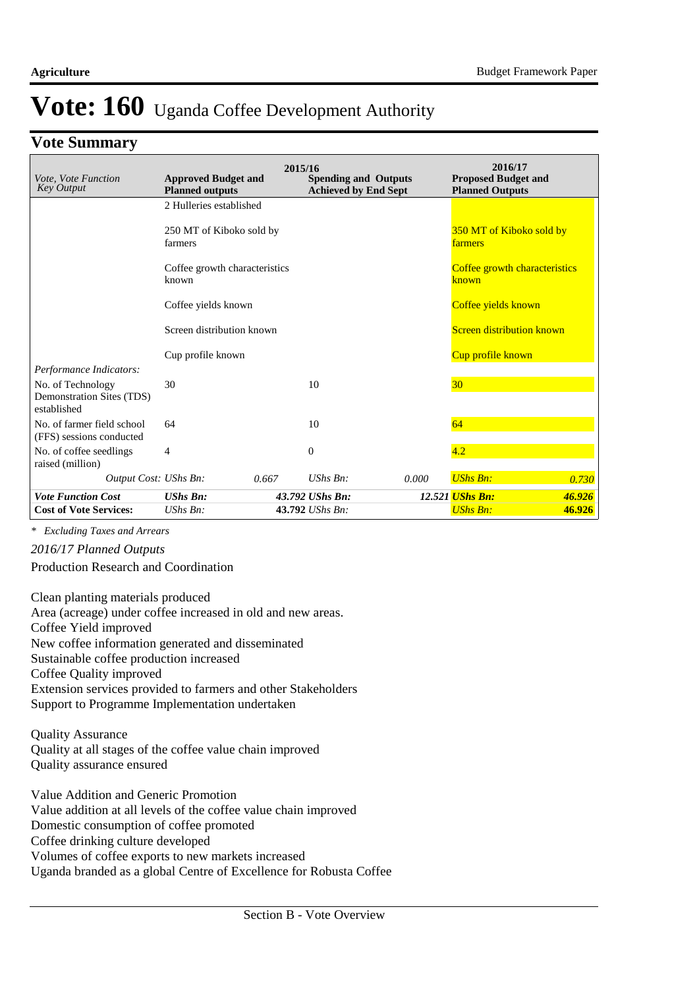## **Vote Summary**

| Vote, Vote Function<br><b>Key Output</b>                      | <b>Approved Budget and</b><br><b>Planned outputs</b> | 2015/16 | <b>Spending and Outputs</b><br><b>Achieved by End Sept</b> |       | 2016/17<br><b>Proposed Budget and</b><br><b>Planned Outputs</b> |        |
|---------------------------------------------------------------|------------------------------------------------------|---------|------------------------------------------------------------|-------|-----------------------------------------------------------------|--------|
|                                                               | 2 Hulleries established                              |         |                                                            |       |                                                                 |        |
|                                                               | 250 MT of Kiboko sold by<br>farmers                  |         |                                                            |       | 350 MT of Kiboko sold by<br>farmers                             |        |
|                                                               | Coffee growth characteristics<br>known               |         | Coffee growth characteristics<br>known                     |       |                                                                 |        |
|                                                               | Coffee yields known                                  |         | Coffee yields known                                        |       |                                                                 |        |
|                                                               | Screen distribution known                            |         | <b>Screen distribution known</b>                           |       |                                                                 |        |
|                                                               | Cup profile known                                    |         |                                                            |       | Cup profile known                                               |        |
| Performance Indicators:                                       |                                                      |         |                                                            |       |                                                                 |        |
| No. of Technology<br>Demonstration Sites (TDS)<br>established | 30                                                   |         | 10                                                         |       | 30                                                              |        |
| No. of farmer field school<br>(FFS) sessions conducted        | 64                                                   |         | 10                                                         |       | 64                                                              |        |
| No. of coffee seedlings<br>raised (million)                   | $\overline{4}$                                       |         | $\mathbf{0}$                                               |       | 4.2                                                             |        |
| Output Cost: UShs Bn:                                         |                                                      | 0.667   | $UShs Bn$ :                                                | 0.000 | <b>UShs Bn:</b>                                                 | 0.730  |
| <b>Vote Function Cost</b>                                     | <b>UShs Bn:</b>                                      |         | 43.792 UShs Bn:                                            |       | 12.521 <i>UShs Bn:</i>                                          | 46.926 |
| <b>Cost of Vote Services:</b>                                 | $UShs Bn$ :                                          |         | 43.792 UShs Bn:                                            |       | <b>UShs Bn:</b>                                                 | 46.926 |

*\* Excluding Taxes and Arrears*

*2016/17 Planned Outputs*

Production Research and Coordination

Clean planting materials produced Area (acreage) under coffee increased in old and new areas. Coffee Yield improved New coffee information generated and disseminated Sustainable coffee production increased Coffee Quality improved Extension services provided to farmers and other Stakeholders Support to Programme Implementation undertaken

Quality Assurance Quality at all stages of the coffee value chain improved Quality assurance ensured 

Value Addition and Generic Promotion Value addition at all levels of the coffee value chain improved Domestic consumption of coffee promoted Coffee drinking culture developed Volumes of coffee exports to new markets increased Uganda branded as a global Centre of Excellence for Robusta Coffee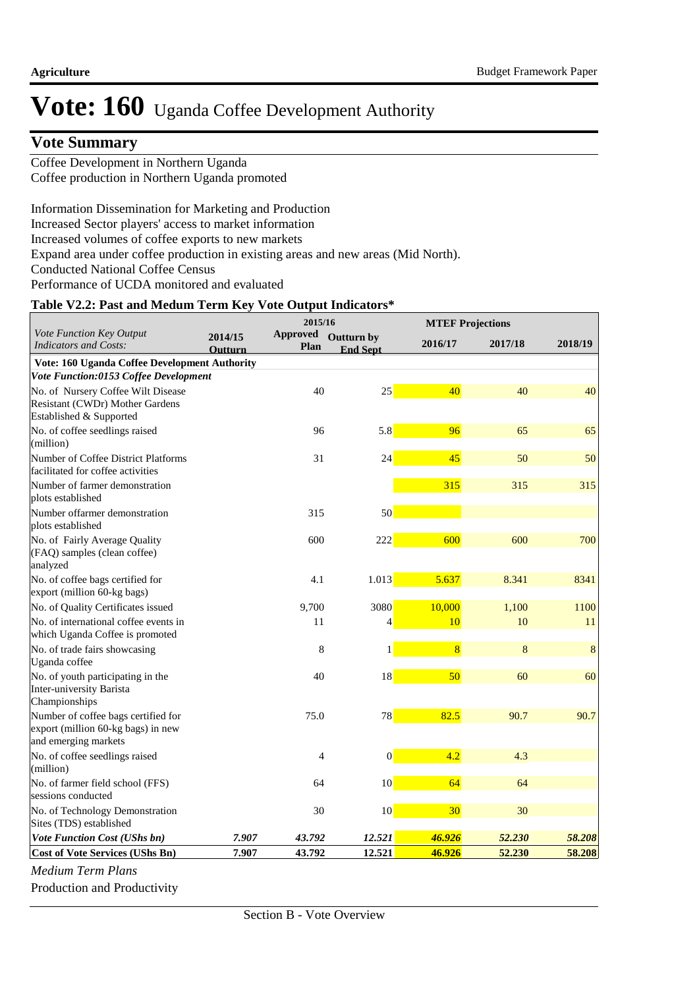## **Vote Summary**

Coffee Development in Northern Uganda Coffee production in Northern Uganda promoted

Information Dissemination for Marketing and Production

Increased Sector players' access to market information

Increased volumes of coffee exports to new markets

Expand area under coffee production in existing areas and new areas (Mid North).

Conducted National Coffee Census

Performance of UCDA monitored and evaluated

### **Table V2.2: Past and Medum Term Key Vote Output Indicators\***

|                                                                                                   |                           | 2015/16                 |                                      |                | <b>MTEF Projections</b> |         |
|---------------------------------------------------------------------------------------------------|---------------------------|-------------------------|--------------------------------------|----------------|-------------------------|---------|
| Vote Function Key Output<br><b>Indicators and Costs:</b>                                          | 2014/15<br><b>Outturn</b> | <b>Approved</b><br>Plan | <b>Outturn by</b><br><b>End Sept</b> | 2016/17        | 2017/18                 | 2018/19 |
| Vote: 160 Uganda Coffee Development Authority                                                     |                           |                         |                                      |                |                         |         |
| Vote Function:0153 Coffee Development                                                             |                           |                         |                                      |                |                         |         |
| No. of Nursery Coffee Wilt Disease<br>Resistant (CWDr) Mother Gardens<br>Established & Supported  |                           | 40                      | 25                                   | 40             | 40                      | 40      |
| No. of coffee seedlings raised<br>(million)                                                       |                           | 96                      | 5.8                                  | 96             | 65                      | 65      |
| Number of Coffee District Platforms<br>facilitated for coffee activities                          |                           | 31                      | 24                                   | 45             | 50                      | 50      |
| Number of farmer demonstration<br>plots established                                               |                           |                         |                                      | 315            | 315                     | 315     |
| Number offarmer demonstration<br>plots established                                                |                           | 315                     | 50                                   |                |                         |         |
| No. of Fairly Average Quality<br>(FAQ) samples (clean coffee)<br>analyzed                         |                           | 600                     | 222                                  | 600            | 600                     | 700     |
| No. of coffee bags certified for<br>export (million 60-kg bags)                                   |                           | 4.1                     | 1.013                                | 5.637          | 8.341                   | 8341    |
| No. of Quality Certificates issued                                                                |                           | 9,700                   | 3080                                 | 10,000         | 1,100                   | 1100    |
| No. of international coffee events in<br>which Uganda Coffee is promoted                          |                           | 11                      | $\overline{4}$                       | 10             | 10                      | 11      |
| No. of trade fairs showcasing<br>Uganda coffee                                                    |                           | 8                       | 1                                    | $\overline{8}$ | 8                       | $\bf 8$ |
| No. of youth participating in the<br><b>Inter-university Barista</b><br>Championships             |                           | 40                      | 18                                   | 50             | 60                      | 60      |
| Number of coffee bags certified for<br>export (million 60-kg bags) in new<br>and emerging markets |                           | 75.0                    | 78                                   | 82.5           | 90.7                    | 90.7    |
| No. of coffee seedlings raised<br>(million)                                                       |                           | $\overline{4}$          | $\overline{0}$                       | 4.2            | 4.3                     |         |
| No. of farmer field school (FFS)<br>sessions conducted                                            |                           | 64                      | 10 <sup>°</sup>                      | 64             | 64                      |         |
| No. of Technology Demonstration<br>Sites (TDS) established                                        |                           | 30                      | 10                                   | 30             | 30                      |         |
| Vote Function Cost (UShs bn)                                                                      | 7.907                     | 43.792                  | 12.521                               | 46.926         | 52.230                  | 58.208  |
| <b>Cost of Vote Services (UShs Bn)</b>                                                            | 7.907                     | 43.792                  | 12.521                               | 46.926         | 52.230                  | 58.208  |

*Medium Term Plans*

Production and Productivity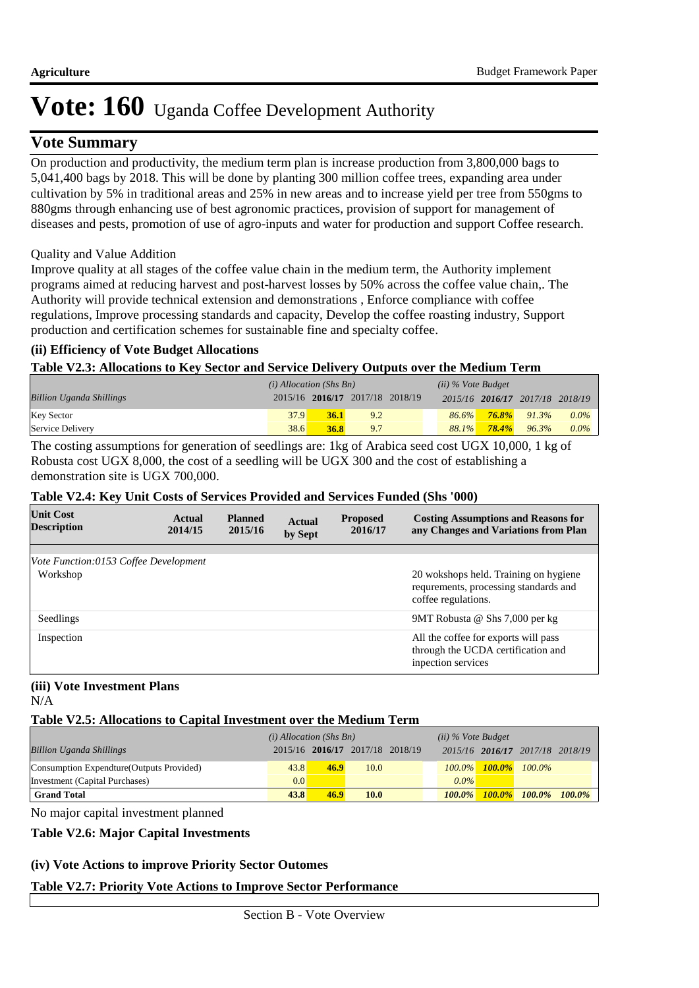## **Vote Summary**

On production and productivity, the medium term plan is increase production from 3,800,000 bags to 5,041,400 bags by 2018. This will be done by planting 300 million coffee trees, expanding area under cultivation by 5% in traditional areas and 25% in new areas and to increase yield per tree from 550gms to 880gms through enhancing use of best agronomic practices, provision of support for management of diseases and pests, promotion of use of agro-inputs and water for production and support Coffee research.

### Quality and Value Addition

Improve quality at all stages of the coffee value chain in the medium term, the Authority implement programs aimed at reducing harvest and post-harvest losses by 50% across the coffee value chain,. The Authority will provide technical extension and demonstrations , Enforce compliance with coffee regulations, Improve processing standards and capacity, Develop the coffee roasting industry, Support production and certification schemes for sustainable fine and specialty coffee.

## **(ii) Efficiency of Vote Budget Allocations**

#### **Table V2.3: Allocations to Key Sector and Service Delivery Outputs over the Medium Term**

|                                 | $(i)$ Allocation (Shs Bn) |                                 |     | $(ii)$ % Vote Budget |          |       |                                 |         |
|---------------------------------|---------------------------|---------------------------------|-----|----------------------|----------|-------|---------------------------------|---------|
| <b>Billion Uganda Shillings</b> |                           | 2015/16 2016/17 2017/18 2018/19 |     |                      |          |       | 2015/16 2016/17 2017/18 2018/19 |         |
| <b>Key Sector</b>               | 37.9                      | 36.1                            | 9.2 |                      | $86.6\%$ | 76.8% | 91.3%                           | $0.0\%$ |
| Service Delivery                | 38.6                      | 36.8                            | 9.7 |                      | 88.1%    | 78.4% | 96.3%                           | $0.0\%$ |

The costing assumptions for generation of seedlings are: 1kg of Arabica seed cost UGX 10,000, 1 kg of Robusta cost UGX 8,000, the cost of a seedling will be UGX 300 and the cost of establishing a demonstration site is UGX 700,000.

#### **Table V2.4: Key Unit Costs of Services Provided and Services Funded (Shs '000)**

| <b>Unit Cost</b><br><b>Description</b> | Actual<br>2014/15 | <b>Planned</b><br>2015/16 | Actual<br>by Sept | <b>Proposed</b><br>2016/17 | <b>Costing Assumptions and Reasons for</b><br>any Changes and Variations from Plan                    |
|----------------------------------------|-------------------|---------------------------|-------------------|----------------------------|-------------------------------------------------------------------------------------------------------|
|                                        |                   |                           |                   |                            |                                                                                                       |
| Vote Function:0153 Coffee Development  |                   |                           |                   |                            |                                                                                                       |
| Workshop                               |                   |                           |                   |                            | 20 wokshops held. Training on hygiene<br>requrements, processing standards and<br>coffee regulations. |
| Seedlings                              |                   |                           |                   |                            | 9MT Robusta @ Shs 7,000 per kg                                                                        |
| Inspection                             |                   |                           |                   |                            | All the coffee for exports will pass<br>through the UCDA certification and<br>inpection services      |

#### **(iii) Vote Investment Plans** N/A

#### **Table V2.5: Allocations to Capital Investment over the Medium Term**

|                                           | $(i)$ Allocation (Shs Bn) |      |                                 | $(ii)$ % Vote Budget |         |                               |                                         |  |
|-------------------------------------------|---------------------------|------|---------------------------------|----------------------|---------|-------------------------------|-----------------------------------------|--|
| Billion Uganda Shillings                  |                           |      | 2015/16 2016/17 2017/18 2018/19 |                      |         |                               | 2015/16 2016/17 2017/18 2018/19         |  |
| Consumption Expendture (Outputs Provided) | 43.8                      | 46.9 | 10.0                            |                      |         | $100.0\%$ $100.0\%$ $100.0\%$ |                                         |  |
| Investment (Capital Purchases)            | 0.0 <sub>l</sub>          |      |                                 |                      | $0.0\%$ |                               |                                         |  |
| <b>Grand Total</b>                        | 43.8                      | 46.9 | 10.0                            |                      |         |                               | $100.0\%$ $100.0\%$ $100.0\%$ $100.0\%$ |  |

No major capital investment planned

#### **Table V2.6: Major Capital Investments**

## **(iv) Vote Actions to improve Priority Sector Outomes**

## **Table V2.7: Priority Vote Actions to Improve Sector Performance**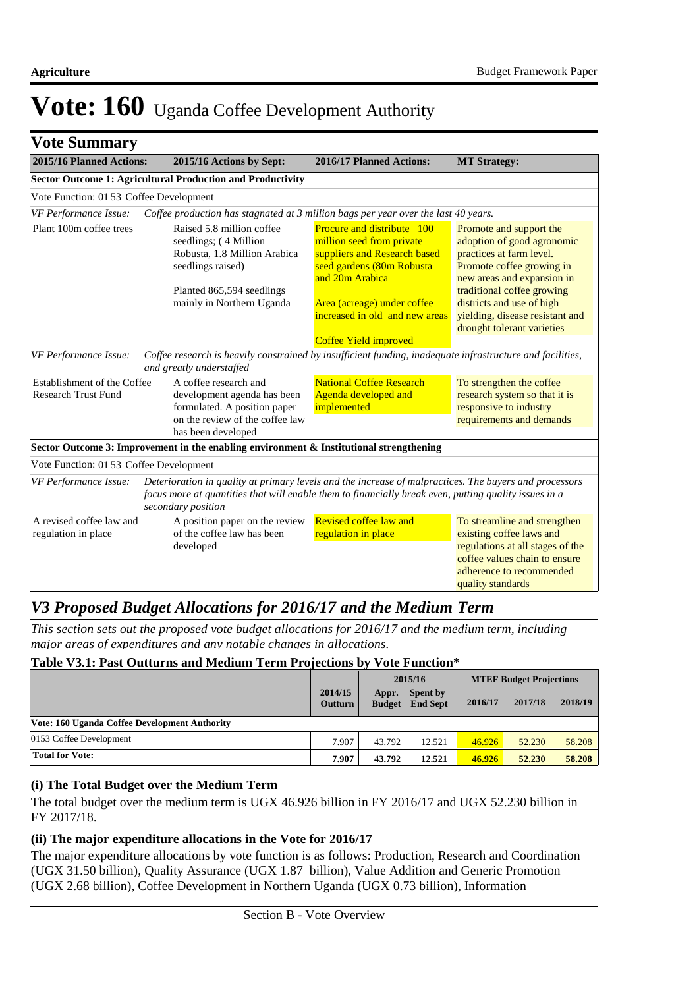| <b>Vote Summary</b>                                                                                                                                                                                        |                                                                                                                                                                                                                                       |                                                                                                                                         |                                                                                                                                                                                |  |
|------------------------------------------------------------------------------------------------------------------------------------------------------------------------------------------------------------|---------------------------------------------------------------------------------------------------------------------------------------------------------------------------------------------------------------------------------------|-----------------------------------------------------------------------------------------------------------------------------------------|--------------------------------------------------------------------------------------------------------------------------------------------------------------------------------|--|
| 2015/16 Planned Actions:                                                                                                                                                                                   | 2015/16 Actions by Sept:                                                                                                                                                                                                              | 2016/17 Planned Actions:                                                                                                                | <b>MT Strategy:</b>                                                                                                                                                            |  |
|                                                                                                                                                                                                            | <b>Sector Outcome 1: Agricultural Production and Productivity</b>                                                                                                                                                                     |                                                                                                                                         |                                                                                                                                                                                |  |
| Vote Function: 01 53 Coffee Development                                                                                                                                                                    |                                                                                                                                                                                                                                       |                                                                                                                                         |                                                                                                                                                                                |  |
| VF Performance Issue:                                                                                                                                                                                      | Coffee production has stagnated at 3 million bags per year over the last 40 years.                                                                                                                                                    |                                                                                                                                         |                                                                                                                                                                                |  |
| Plant 100m coffee trees                                                                                                                                                                                    | Raised 5.8 million coffee<br>seedlings; (4 Million<br>Robusta, 1.8 Million Arabica<br>seedlings raised)<br>Planted 865,594 seedlings                                                                                                  | Procure and distribute 100<br>million seed from private<br>suppliers and Research based<br>seed gardens (80m Robusta<br>and 20m Arabica | Promote and support the<br>adoption of good agronomic<br>practices at farm level.<br>Promote coffee growing in<br>new areas and expansion in<br>traditional coffee growing     |  |
|                                                                                                                                                                                                            | mainly in Northern Uganda                                                                                                                                                                                                             | Area (acreage) under coffee<br>increased in old and new areas<br><b>Coffee Yield improved</b>                                           | districts and use of high<br>yielding, disease resistant and<br>drought tolerant varieties                                                                                     |  |
| VF Performance Issue:                                                                                                                                                                                      | Coffee research is heavily constrained by insufficient funding, inadequate infrastructure and facilities,<br>and greatly understaffed                                                                                                 |                                                                                                                                         |                                                                                                                                                                                |  |
| A coffee research and<br>Establishment of the Coffee<br><b>Research Trust Fund</b><br>development agenda has been<br>formulated. A position paper<br>on the review of the coffee law<br>has been developed |                                                                                                                                                                                                                                       | <b>National Coffee Research</b><br>Agenda developed and<br>implemented                                                                  | To strengthen the coffee<br>research system so that it is<br>responsive to industry<br>requirements and demands                                                                |  |
|                                                                                                                                                                                                            | Sector Outcome 3: Improvement in the enabling environment & Institutional strengthening                                                                                                                                               |                                                                                                                                         |                                                                                                                                                                                |  |
| Vote Function: 01 53 Coffee Development                                                                                                                                                                    |                                                                                                                                                                                                                                       |                                                                                                                                         |                                                                                                                                                                                |  |
| VF Performance Issue:                                                                                                                                                                                      | Deterioration in quality at primary levels and the increase of malpractices. The buyers and processors<br>focus more at quantities that will enable them to financially break even, putting quality issues in a<br>secondary position |                                                                                                                                         |                                                                                                                                                                                |  |
| A revised coffee law and<br>regulation in place                                                                                                                                                            | A position paper on the review<br>of the coffee law has been<br>developed                                                                                                                                                             | <b>Revised coffee law and</b><br>regulation in place                                                                                    | To streamline and strengthen<br>existing coffee laws and<br>regulations at all stages of the<br>coffee values chain to ensure<br>adherence to recommended<br>quality standards |  |

## *V3 Proposed Budget Allocations for 2016/17 and the Medium Term*

*This section sets out the proposed vote budget allocations for 2016/17 and the medium term, including major areas of expenditures and any notable changes in allocations.* 

## **Table V3.1: Past Outturns and Medium Term Projections by Vote Function\***

|                                               |                           | 2015/16                |                             | <b>MTEF Budget Projections</b> |         |         |  |
|-----------------------------------------------|---------------------------|------------------------|-----------------------------|--------------------------------|---------|---------|--|
|                                               | 2014/15<br><b>Outturn</b> | Appr.<br><b>Budget</b> | Spent by<br><b>End Sept</b> | 2016/17                        | 2017/18 | 2018/19 |  |
| Vote: 160 Uganda Coffee Development Authority |                           |                        |                             |                                |         |         |  |
| 0153 Coffee Development                       | 7.907                     | 43.792                 | 12.521                      | 46.926                         | 52.230  | 58.208  |  |
| <b>Total for Vote:</b>                        | 7.907                     | 43.792                 | 12.521                      | 46.926                         | 52.230  | 58.208  |  |

## **(i) The Total Budget over the Medium Term**

The total budget over the medium term is UGX 46.926 billion in FY 2016/17 and UGX 52.230 billion in FY 2017/18.

#### **(ii) The major expenditure allocations in the Vote for 2016/17**

The major expenditure allocations by vote function is as follows: Production, Research and Coordination (UGX 31.50 billion), Quality Assurance (UGX 1.87 billion), Value Addition and Generic Promotion (UGX 2.68 billion), Coffee Development in Northern Uganda (UGX 0.73 billion), Information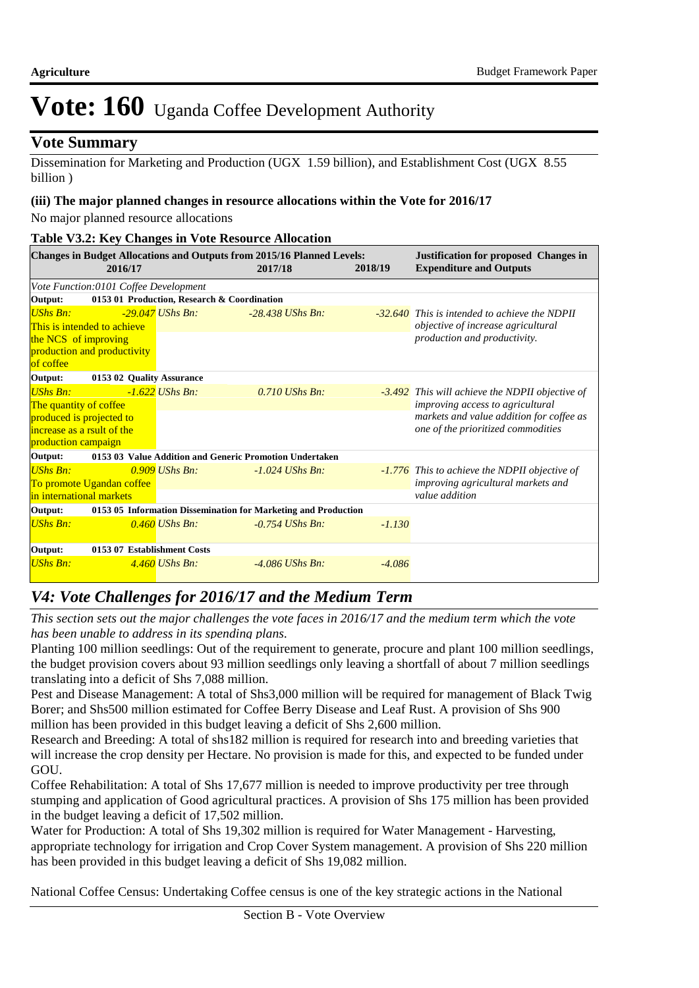## **Vote Summary**

Dissemination for Marketing and Production (UGX 1.59 billion), and Establishment Cost (UGX 8.55 billion )

### **(iii) The major planned changes in resource allocations within the Vote for 2016/17**

No major planned resource allocations

#### **Table V3.2: Key Changes in Vote Resource Allocation**

|                            | 2016/17                                     |                    | <b>Changes in Budget Allocations and Outputs from 2015/16 Planned Levels:</b><br>2017/18 | 2018/19  | <b>Justification for proposed Changes in</b><br><b>Expenditure and Outputs</b> |
|----------------------------|---------------------------------------------|--------------------|------------------------------------------------------------------------------------------|----------|--------------------------------------------------------------------------------|
|                            | Vote Function:0101 Coffee Development       |                    |                                                                                          |          |                                                                                |
| Output:                    | 0153 01 Production, Research & Coordination |                    |                                                                                          |          |                                                                                |
| <b>UShs Bn:</b>            |                                             | $-29.047$ UShs Bn: | $-28.438$ UShs Bn.                                                                       |          | -32.640 This is intended to achieve the NDPII                                  |
|                            | This is intended to achieve                 |                    |                                                                                          |          | objective of increase agricultural                                             |
| the NCS of improving       |                                             |                    |                                                                                          |          | production and productivity.                                                   |
|                            | production and productivity                 |                    |                                                                                          |          |                                                                                |
| of coffee                  |                                             |                    |                                                                                          |          |                                                                                |
| Output:                    | 0153 02 Quality Assurance                   |                    |                                                                                          |          |                                                                                |
| <b>UShs Bn:</b>            |                                             | $-1.622$ UShs Bn:  | $0.710$ UShs Bn:                                                                         |          | -3.492 This will achieve the NDPII objective of                                |
| The quantity of coffee     |                                             |                    |                                                                                          |          | improving access to agricultural                                               |
| produced is projected to   |                                             |                    |                                                                                          |          | markets and value addition for coffee as                                       |
| increase as a rsult of the |                                             |                    |                                                                                          |          | one of the prioritized commodities                                             |
| production campaign        |                                             |                    |                                                                                          |          |                                                                                |
| Output:                    |                                             |                    | 0153 03 Value Addition and Generic Promotion Undertaken                                  |          |                                                                                |
| <b>UShs Bn:</b>            |                                             | $0.909$ UShs Bn:   | $-1.024$ UShs Bn.                                                                        |          | -1.776 This to achieve the NDPII objective of                                  |
|                            | To promote Ugandan coffee                   |                    |                                                                                          |          | improving agricultural markets and                                             |
| in international markets   |                                             |                    |                                                                                          |          | value addition                                                                 |
| Output:                    |                                             |                    | 0153 05 Information Dissemination for Marketing and Production                           |          |                                                                                |
| <b>UShs Bn:</b>            |                                             | $0.460$ UShs Bn:   | $-0.754$ UShs Bn.                                                                        | $-1.130$ |                                                                                |
|                            |                                             |                    |                                                                                          |          |                                                                                |
| Output:                    | 0153 07 Establishment Costs                 |                    |                                                                                          |          |                                                                                |
| <b>UShs Bn:</b>            |                                             | $4.460$ UShs Bn:   | $-4.086$ UShs Bn:                                                                        | $-4.086$ |                                                                                |
|                            |                                             |                    |                                                                                          |          |                                                                                |

## *V4: Vote Challenges for 2016/17 and the Medium Term*

*This section sets out the major challenges the vote faces in 2016/17 and the medium term which the vote has been unable to address in its spending plans.*

Planting 100 million seedlings: Out of the requirement to generate, procure and plant 100 million seedlings, the budget provision covers about 93 million seedlings only leaving a shortfall of about 7 million seedlings translating into a deficit of Shs 7,088 million.

Pest and Disease Management: A total of Shs3,000 million will be required for management of Black Twig Borer; and Shs500 million estimated for Coffee Berry Disease and Leaf Rust. A provision of Shs 900 million has been provided in this budget leaving a deficit of Shs 2,600 million.

Research and Breeding: A total of shs182 million is required for research into and breeding varieties that will increase the crop density per Hectare. No provision is made for this, and expected to be funded under GOU.

Coffee Rehabilitation: A total of Shs 17,677 million is needed to improve productivity per tree through stumping and application of Good agricultural practices. A provision of Shs 175 million has been provided in the budget leaving a deficit of 17,502 million.

Water for Production: A total of Shs 19,302 million is required for Water Management - Harvesting, appropriate technology for irrigation and Crop Cover System management. A provision of Shs 220 million has been provided in this budget leaving a deficit of Shs 19,082 million.

National Coffee Census: Undertaking Coffee census is one of the key strategic actions in the National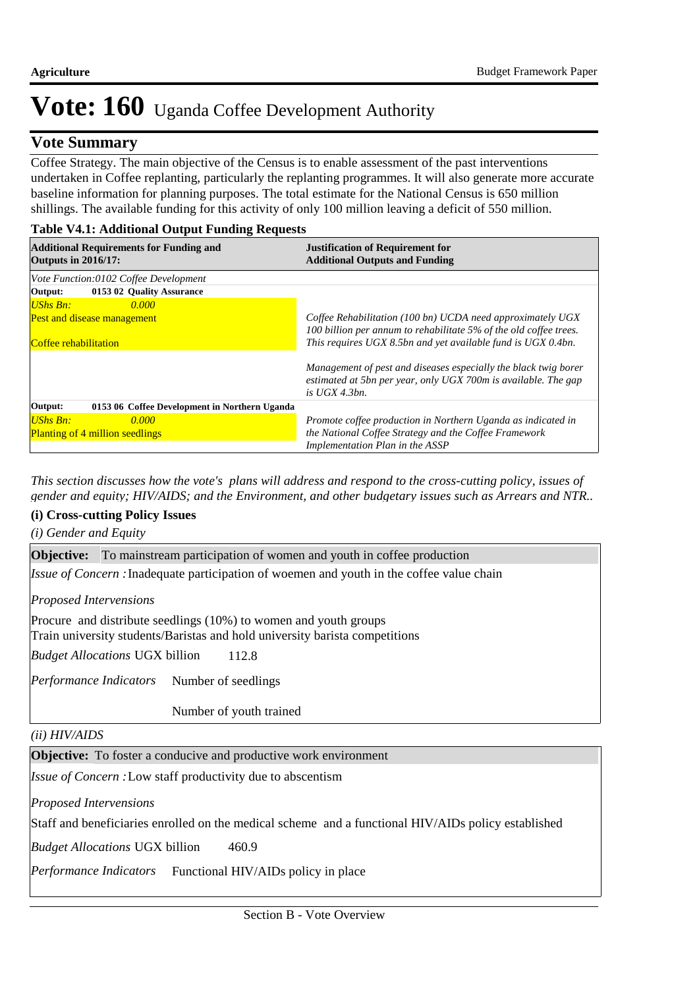## **Vote Summary**

Coffee Strategy. The main objective of the Census is to enable assessment of the past interventions undertaken in Coffee replanting, particularly the replanting programmes. It will also generate more accurate baseline information for planning purposes. The total estimate for the National Census is 650 million shillings. The available funding for this activity of only 100 million leaving a deficit of 550 million.

### **Table V4.1: Additional Output Funding Requests**

| <b>Justification of Requirement for</b><br><b>Additional Outputs and Funding</b>                                                                         |
|----------------------------------------------------------------------------------------------------------------------------------------------------------|
|                                                                                                                                                          |
|                                                                                                                                                          |
|                                                                                                                                                          |
| Coffee Rehabilitation (100 bn) UCDA need approximately UGX<br>100 billion per annum to rehabilitate 5% of the old coffee trees.                          |
| This requires UGX 8.5bn and vet available fund is UGX 0.4bn.                                                                                             |
| Management of pest and diseases especially the black twig borer<br>estimated at 5bn per year, only UGX 700m is available. The gap<br>is $UGX$ 4.3bn.     |
|                                                                                                                                                          |
| Promote coffee production in Northern Uganda as indicated in<br>the National Coffee Strategy and the Coffee Framework<br>Implementation Plan in the ASSP |
|                                                                                                                                                          |

*This section discusses how the vote's plans will address and respond to the cross-cutting policy, issues of gender and equity; HIV/AIDS; and the Environment, and other budgetary issues such as Arrears and NTR..* 

### **(i) Cross-cutting Policy Issues**

*(i) Gender and Equity*

**Objective:** To mainstream participation of women and youth in coffee production

Issue of Concern : Inadequate participation of woemen and youth in the coffee value chain

*Proposed Intervensions* 

Procure and distribute seedlings (10%) to women and youth groups Train university students/Baristas and hold university barista competitions

112.8 *Budget Allocations*  UGX billion

Number of seedlings *Performance Indicators*

Number of youth trained

*(ii) HIV/AIDS*

**Objective:** To foster a conducive and productive work environment

Issue of Concern : Low staff productivity due to abscentism

*Proposed Intervensions* 

Staff and beneficiaries enrolled on the medical scheme and a functional HIV/AIDs policy established

460.9 *Budget Allocations*  UGX billion

Performance Indicators Functional HIV/AIDs policy in place